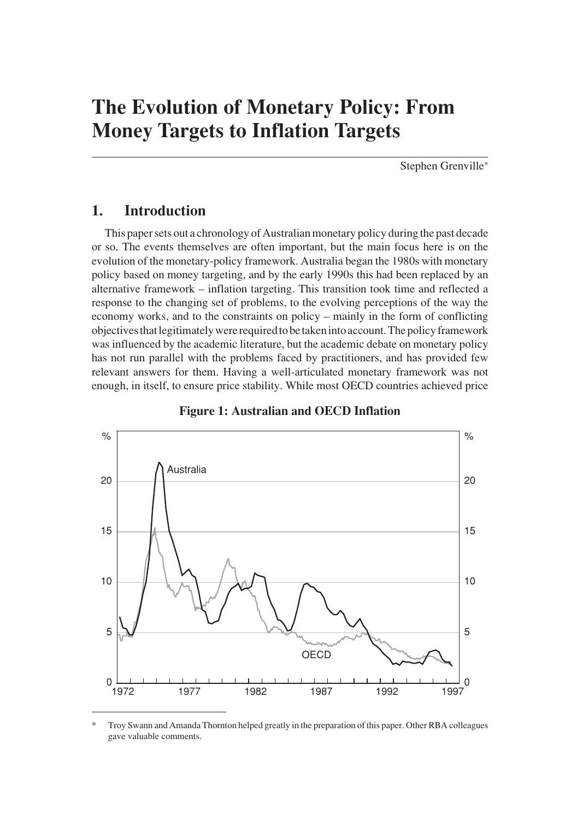Stephen Grenville\*

## **1. Introduction**

This paper sets out a chronology of Australian monetary policy during the past decade or so. The events themselves are often important, but the main focus here is on the evolution of the monetary-policy framework. Australia began the 1980s with monetary policy based on money targeting, and by the early 1990s this had been replaced by an alternative framework – inflation targeting. This transition took time and reflected a response to the changing set of problems, to the evolving perceptions of the way the economy works, and to the constraints on policy – mainly in the form of conflicting objectives that legitimately were required to be taken into account. The policy framework was influenced by the academic literature, but the academic debate on monetary policy has not run parallel with the problems faced by practitioners, and has provided few relevant answers for them. Having a well-articulated monetary framework was not enough, in itself, to ensure price stability. While most OECD countries achieved price



**Figure 1: Australian and OECD Inflation**

<sup>\*</sup> Troy Swann and Amanda Thornton helped greatly in the preparation of this paper. Other RBA colleagues gave valuable comments.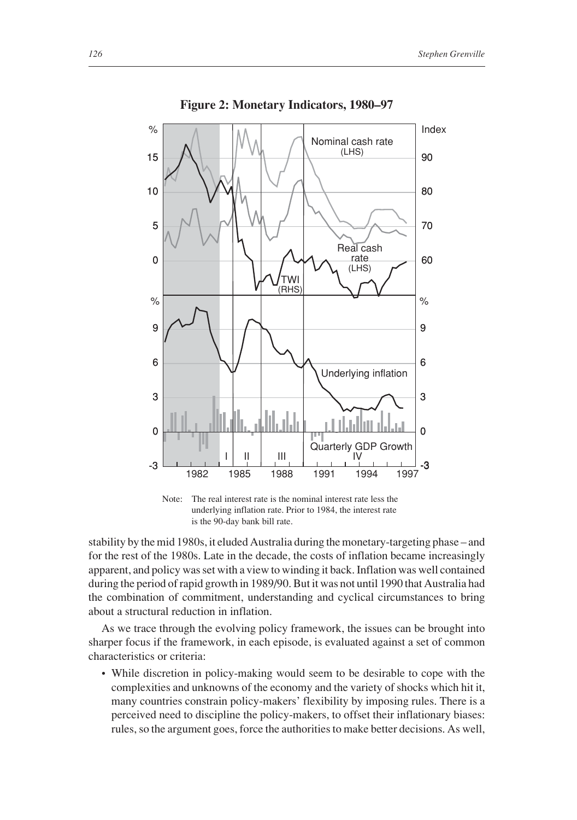

**Figure 2: Monetary Indicators, 1980–97**

Note: The real interest rate is the nominal interest rate less the underlying inflation rate. Prior to 1984, the interest rate is the 90-day bank bill rate.

stability by the mid 1980s, it eluded Australia during the monetary-targeting phase – and for the rest of the 1980s. Late in the decade, the costs of inflation became increasingly apparent, and policy was set with a view to winding it back. Inflation was well contained during the period of rapid growth in 1989/90. But it was not until 1990 that Australia had the combination of commitment, understanding and cyclical circumstances to bring about a structural reduction in inflation.

As we trace through the evolving policy framework, the issues can be brought into sharper focus if the framework, in each episode, is evaluated against a set of common characteristics or criteria:

• While discretion in policy-making would seem to be desirable to cope with the complexities and unknowns of the economy and the variety of shocks which hit it, many countries constrain policy-makers' flexibility by imposing rules. There is a perceived need to discipline the policy-makers, to offset their inflationary biases: rules, so the argument goes, force the authorities to make better decisions. As well,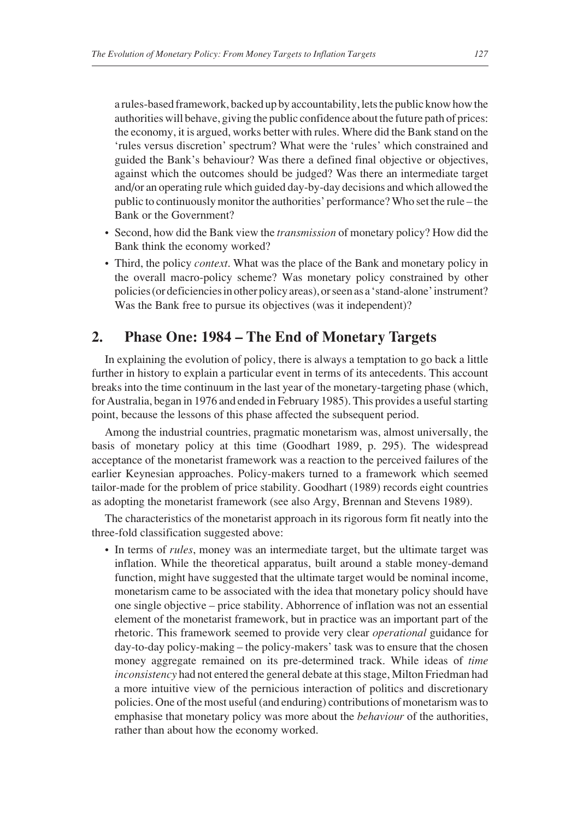a rules-based framework, backed up by accountability, lets the public know how the authorities will behave, giving the public confidence about the future path of prices: the economy, it is argued, works better with rules. Where did the Bank stand on the 'rules versus discretion' spectrum? What were the 'rules' which constrained and guided the Bank's behaviour? Was there a defined final objective or objectives, against which the outcomes should be judged? Was there an intermediate target and/or an operating rule which guided day-by-day decisions and which allowed the public to continuously monitor the authorities' performance? Who set the rule – the Bank or the Government?

- Second, how did the Bank view the *transmission* of monetary policy? How did the Bank think the economy worked?
- Third, the policy *context*. What was the place of the Bank and monetary policy in the overall macro-policy scheme? Was monetary policy constrained by other policies (or deficiencies in other policy areas), or seen as a 'stand-alone' instrument? Was the Bank free to pursue its objectives (was it independent)?

## **2. Phase One: 1984 – The End of Monetary Targets**

In explaining the evolution of policy, there is always a temptation to go back a little further in history to explain a particular event in terms of its antecedents. This account breaks into the time continuum in the last year of the monetary-targeting phase (which, for Australia, began in 1976 and ended in February 1985). This provides a useful starting point, because the lessons of this phase affected the subsequent period.

Among the industrial countries, pragmatic monetarism was, almost universally, the basis of monetary policy at this time (Goodhart 1989, p. 295). The widespread acceptance of the monetarist framework was a reaction to the perceived failures of the earlier Keynesian approaches. Policy-makers turned to a framework which seemed tailor-made for the problem of price stability. Goodhart (1989) records eight countries as adopting the monetarist framework (see also Argy, Brennan and Stevens 1989).

The characteristics of the monetarist approach in its rigorous form fit neatly into the three-fold classification suggested above:

• In terms of *rules*, money was an intermediate target, but the ultimate target was inflation. While the theoretical apparatus, built around a stable money-demand function, might have suggested that the ultimate target would be nominal income, monetarism came to be associated with the idea that monetary policy should have one single objective – price stability. Abhorrence of inflation was not an essential element of the monetarist framework, but in practice was an important part of the rhetoric. This framework seemed to provide very clear *operational* guidance for day-to-day policy-making – the policy-makers' task was to ensure that the chosen money aggregate remained on its pre-determined track. While ideas of *time inconsistency* had not entered the general debate at this stage, Milton Friedman had a more intuitive view of the pernicious interaction of politics and discretionary policies. One of the most useful (and enduring) contributions of monetarism was to emphasise that monetary policy was more about the *behaviour* of the authorities, rather than about how the economy worked.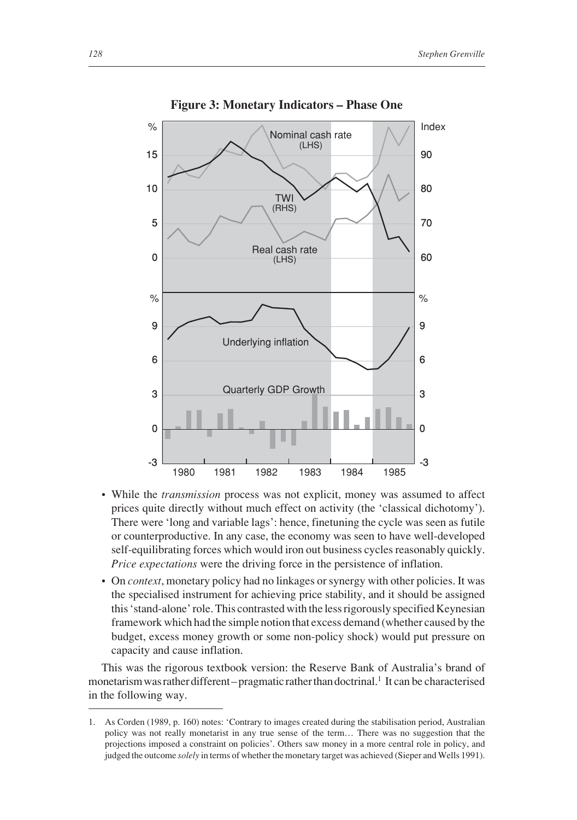

**Figure 3: Monetary Indicators – Phase One**

- While the *transmission* process was not explicit, money was assumed to affect prices quite directly without much effect on activity (the 'classical dichotomy'). There were 'long and variable lags': hence, finetuning the cycle was seen as futile or counterproductive. In any case, the economy was seen to have well-developed self-equilibrating forces which would iron out business cycles reasonably quickly. *Price expectations* were the driving force in the persistence of inflation.
- On *context*, monetary policy had no linkages or synergy with other policies. It was the specialised instrument for achieving price stability, and it should be assigned this 'stand-alone' role. This contrasted with the less rigorously specified Keynesian framework which had the simple notion that excess demand (whether caused by the budget, excess money growth or some non-policy shock) would put pressure on capacity and cause inflation.

This was the rigorous textbook version: the Reserve Bank of Australia's brand of monetarism was rather different – pragmatic rather than doctrinal.<sup>1</sup> It can be characterised in the following way.

<sup>1.</sup> As Corden (1989, p. 160) notes: 'Contrary to images created during the stabilisation period, Australian policy was not really monetarist in any true sense of the term… There was no suggestion that the projections imposed a constraint on policies'. Others saw money in a more central role in policy, and judged the outcome *solely* in terms of whether the monetary target was achieved (Sieper and Wells 1991).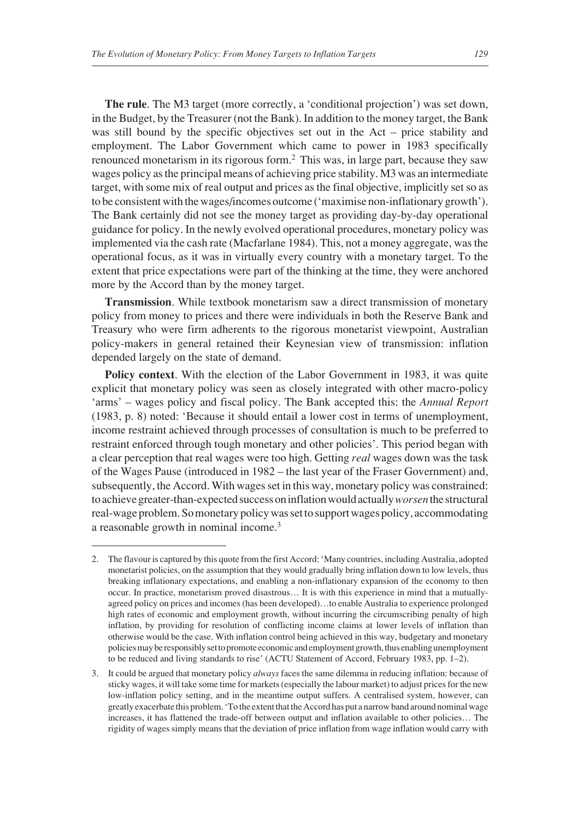**The rule**. The M3 target (more correctly, a 'conditional projection') was set down, in the Budget, by the Treasurer (not the Bank). In addition to the money target, the Bank was still bound by the specific objectives set out in the Act – price stability and employment. The Labor Government which came to power in 1983 specifically renounced monetarism in its rigorous form.2 This was, in large part, because they saw wages policy as the principal means of achieving price stability. M3 was an intermediate target, with some mix of real output and prices as the final objective, implicitly set so as to be consistent with the wages/incomes outcome ('maximise non-inflationary growth'). The Bank certainly did not see the money target as providing day-by-day operational guidance for policy. In the newly evolved operational procedures, monetary policy was implemented via the cash rate (Macfarlane 1984). This, not a money aggregate, was the operational focus, as it was in virtually every country with a monetary target. To the extent that price expectations were part of the thinking at the time, they were anchored more by the Accord than by the money target.

**Transmission**. While textbook monetarism saw a direct transmission of monetary policy from money to prices and there were individuals in both the Reserve Bank and Treasury who were firm adherents to the rigorous monetarist viewpoint, Australian policy-makers in general retained their Keynesian view of transmission: inflation depended largely on the state of demand.

**Policy context**. With the election of the Labor Government in 1983, it was quite explicit that monetary policy was seen as closely integrated with other macro-policy 'arms' – wages policy and fiscal policy. The Bank accepted this: the *Annual Report* (1983, p. 8) noted: 'Because it should entail a lower cost in terms of unemployment, income restraint achieved through processes of consultation is much to be preferred to restraint enforced through tough monetary and other policies'. This period began with a clear perception that real wages were too high. Getting *real* wages down was the task of the Wages Pause (introduced in 1982 – the last year of the Fraser Government) and, subsequently, the Accord. With wages set in this way, monetary policy was constrained: to achieve greater-than-expected success on inflation would actually *worsen*the structural real-wage problem. So monetary policy was set to support wages policy, accommodating a reasonable growth in nominal income.3

<sup>2.</sup> The flavour is captured by this quote from the first Accord: 'Many countries, including Australia, adopted monetarist policies, on the assumption that they would gradually bring inflation down to low levels, thus breaking inflationary expectations, and enabling a non-inflationary expansion of the economy to then occur. In practice, monetarism proved disastrous… It is with this experience in mind that a mutuallyagreed policy on prices and incomes (has been developed)…to enable Australia to experience prolonged high rates of economic and employment growth, without incurring the circumscribing penalty of high inflation, by providing for resolution of conflicting income claims at lower levels of inflation than otherwise would be the case. With inflation control being achieved in this way, budgetary and monetary policies may be responsibly set to promote economic and employment growth, thus enabling unemployment to be reduced and living standards to rise' (ACTU Statement of Accord, February 1983, pp. 1–2).

<sup>3.</sup> It could be argued that monetary policy *always* faces the same dilemma in reducing inflation: because of sticky wages, it will take some time for markets (especially the labour market) to adjust prices for the new low-inflation policy setting, and in the meantime output suffers. A centralised system, however, can greatly exacerbate this problem. 'To the extent that the Accord has put a narrow band around nominal wage increases, it has flattened the trade-off between output and inflation available to other policies… The rigidity of wages simply means that the deviation of price inflation from wage inflation would carry with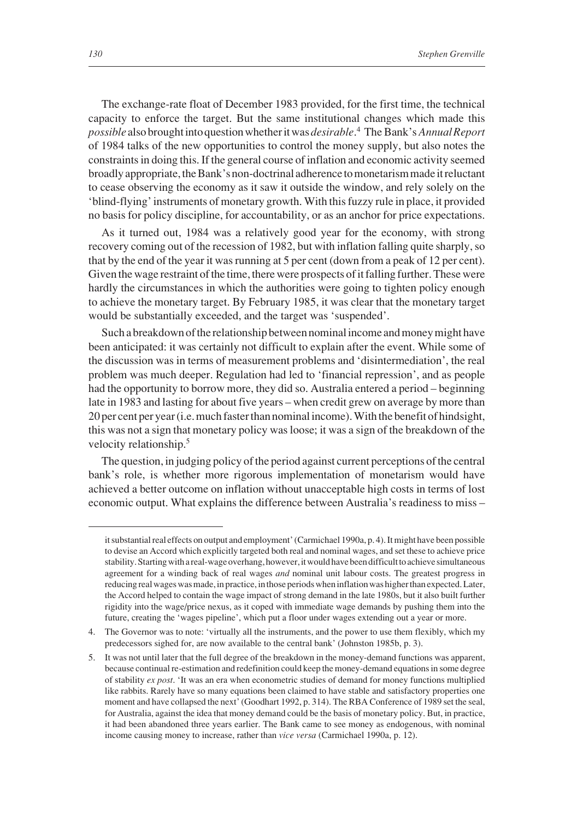The exchange-rate float of December 1983 provided, for the first time, the technical capacity to enforce the target. But the same institutional changes which made this *possible* also brought into question whether it was *desirable*. <sup>4</sup> The Bank's *Annual Report* of 1984 talks of the new opportunities to control the money supply, but also notes the constraints in doing this. If the general course of inflation and economic activity seemed broadly appropriate, the Bank's non-doctrinal adherence to monetarism made it reluctant to cease observing the economy as it saw it outside the window, and rely solely on the 'blind-flying' instruments of monetary growth. With this fuzzy rule in place, it provided no basis for policy discipline, for accountability, or as an anchor for price expectations.

As it turned out, 1984 was a relatively good year for the economy, with strong recovery coming out of the recession of 1982, but with inflation falling quite sharply, so that by the end of the year it was running at 5 per cent (down from a peak of 12 per cent). Given the wage restraint of the time, there were prospects of it falling further. These were hardly the circumstances in which the authorities were going to tighten policy enough to achieve the monetary target. By February 1985, it was clear that the monetary target would be substantially exceeded, and the target was 'suspended'.

Such a breakdown of the relationship between nominal income and money might have been anticipated: it was certainly not difficult to explain after the event. While some of the discussion was in terms of measurement problems and 'disintermediation', the real problem was much deeper. Regulation had led to 'financial repression', and as people had the opportunity to borrow more, they did so. Australia entered a period – beginning late in 1983 and lasting for about five years – when credit grew on average by more than 20 per cent per year (i.e. much faster than nominal income). With the benefit of hindsight, this was not a sign that monetary policy was loose; it was a sign of the breakdown of the velocity relationship.<sup>5</sup>

The question, in judging policy of the period against current perceptions of the central bank's role, is whether more rigorous implementation of monetarism would have achieved a better outcome on inflation without unacceptable high costs in terms of lost economic output. What explains the difference between Australia's readiness to miss –

it substantial real effects on output and employment' (Carmichael 1990a, p. 4). It might have been possible to devise an Accord which explicitly targeted both real and nominal wages, and set these to achieve price stability. Starting with a real-wage overhang, however, it would have been difficult to achieve simultaneous agreement for a winding back of real wages *and* nominal unit labour costs. The greatest progress in reducing real wages was made, in practice, in those periods when inflation was higher than expected. Later, the Accord helped to contain the wage impact of strong demand in the late 1980s, but it also built further rigidity into the wage/price nexus, as it coped with immediate wage demands by pushing them into the future, creating the 'wages pipeline', which put a floor under wages extending out a year or more.

<sup>4.</sup> The Governor was to note: 'virtually all the instruments, and the power to use them flexibly, which my predecessors sighed for, are now available to the central bank' (Johnston 1985b, p. 3).

<sup>5.</sup> It was not until later that the full degree of the breakdown in the money-demand functions was apparent, because continual re-estimation and redefinition could keep the money-demand equations in some degree of stability *ex post*. 'It was an era when econometric studies of demand for money functions multiplied like rabbits. Rarely have so many equations been claimed to have stable and satisfactory properties one moment and have collapsed the next' (Goodhart 1992, p. 314). The RBA Conference of 1989 set the seal, for Australia, against the idea that money demand could be the basis of monetary policy. But, in practice, it had been abandoned three years earlier. The Bank came to see money as endogenous, with nominal income causing money to increase, rather than *vice versa* (Carmichael 1990a, p. 12).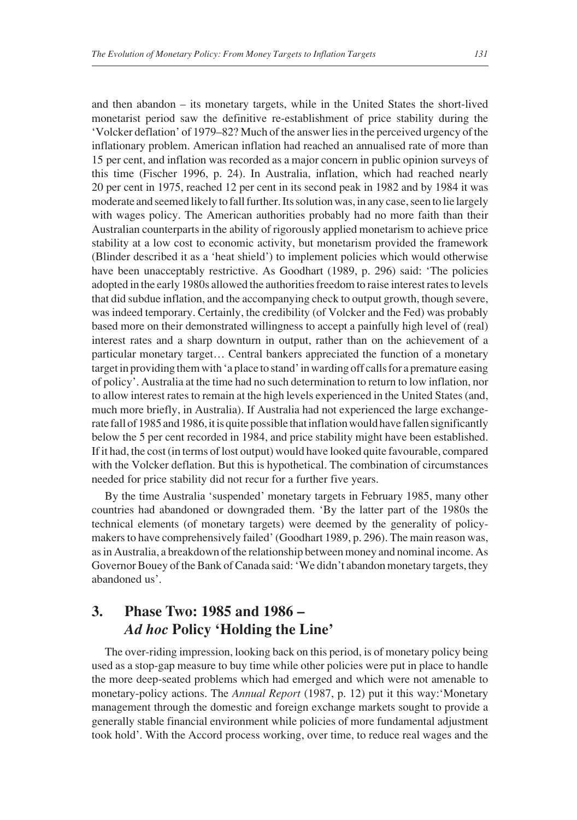and then abandon – its monetary targets, while in the United States the short-lived monetarist period saw the definitive re-establishment of price stability during the 'Volcker deflation' of 1979–82? Much of the answer lies in the perceived urgency of the inflationary problem. American inflation had reached an annualised rate of more than 15 per cent, and inflation was recorded as a major concern in public opinion surveys of this time (Fischer 1996, p. 24). In Australia, inflation, which had reached nearly 20 per cent in 1975, reached 12 per cent in its second peak in 1982 and by 1984 it was moderate and seemed likely to fall further. Its solution was, in any case, seen to lie largely with wages policy. The American authorities probably had no more faith than their Australian counterparts in the ability of rigorously applied monetarism to achieve price stability at a low cost to economic activity, but monetarism provided the framework (Blinder described it as a 'heat shield') to implement policies which would otherwise have been unacceptably restrictive. As Goodhart (1989, p. 296) said: 'The policies adopted in the early 1980s allowed the authorities freedom to raise interest rates to levels that did subdue inflation, and the accompanying check to output growth, though severe, was indeed temporary. Certainly, the credibility (of Volcker and the Fed) was probably based more on their demonstrated willingness to accept a painfully high level of (real) interest rates and a sharp downturn in output, rather than on the achievement of a particular monetary target… Central bankers appreciated the function of a monetary target in providing them with 'a place to stand' in warding off calls for a premature easing of policy'. Australia at the time had no such determination to return to low inflation, nor to allow interest rates to remain at the high levels experienced in the United States (and, much more briefly, in Australia). If Australia had not experienced the large exchangerate fall of 1985 and 1986, it is quite possible that inflation would have fallen significantly below the 5 per cent recorded in 1984, and price stability might have been established. If it had, the cost (in terms of lost output) would have looked quite favourable, compared with the Volcker deflation. But this is hypothetical. The combination of circumstances needed for price stability did not recur for a further five years.

By the time Australia 'suspended' monetary targets in February 1985, many other countries had abandoned or downgraded them. 'By the latter part of the 1980s the technical elements (of monetary targets) were deemed by the generality of policymakers to have comprehensively failed' (Goodhart 1989, p. 296). The main reason was, as in Australia, a breakdown of the relationship between money and nominal income. As Governor Bouey of the Bank of Canada said: 'We didn't abandon monetary targets, they abandoned us'.

# **3. Phase Two: 1985 and 1986 –** *Ad hoc* **Policy 'Holding the Line'**

The over-riding impression, looking back on this period, is of monetary policy being used as a stop-gap measure to buy time while other policies were put in place to handle the more deep-seated problems which had emerged and which were not amenable to monetary-policy actions. The *Annual Report* (1987, p. 12) put it this way:'Monetary management through the domestic and foreign exchange markets sought to provide a generally stable financial environment while policies of more fundamental adjustment took hold'. With the Accord process working, over time, to reduce real wages and the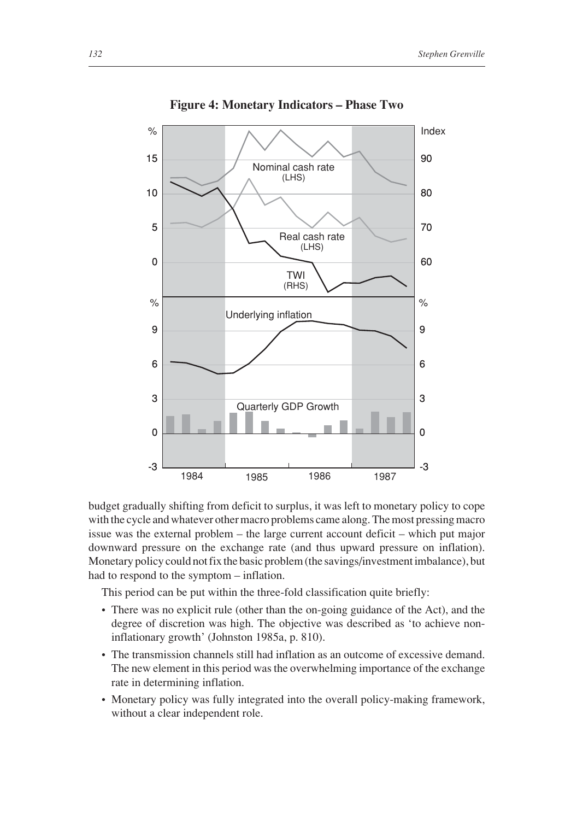

**Figure 4: Monetary Indicators – Phase Two**

budget gradually shifting from deficit to surplus, it was left to monetary policy to cope with the cycle and whatever other macro problems came along. The most pressing macro issue was the external problem – the large current account deficit – which put major downward pressure on the exchange rate (and thus upward pressure on inflation). Monetary policy could not fix the basic problem (the savings/investment imbalance), but had to respond to the symptom – inflation.

This period can be put within the three-fold classification quite briefly:

- There was no explicit rule (other than the on-going guidance of the Act), and the degree of discretion was high. The objective was described as 'to achieve noninflationary growth' (Johnston 1985a, p. 810).
- The transmission channels still had inflation as an outcome of excessive demand. The new element in this period was the overwhelming importance of the exchange rate in determining inflation.
- Monetary policy was fully integrated into the overall policy-making framework, without a clear independent role.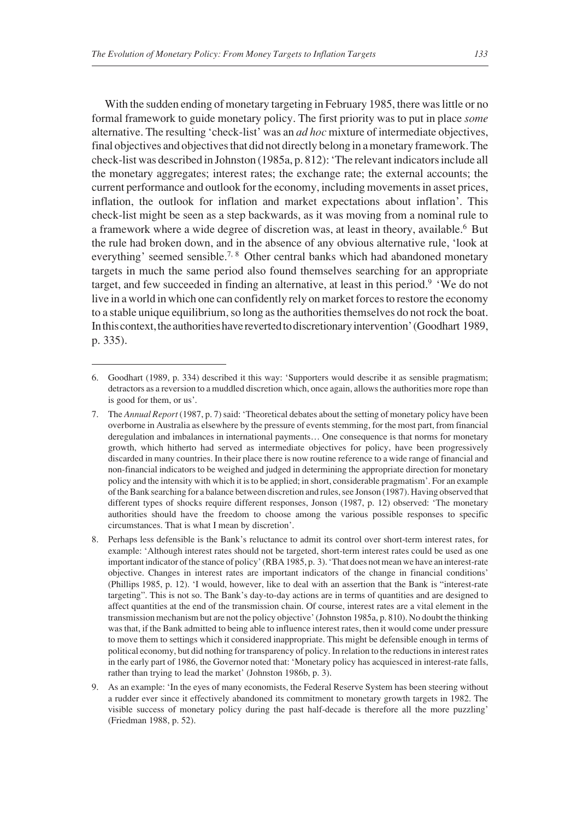With the sudden ending of monetary targeting in February 1985, there was little or no formal framework to guide monetary policy. The first priority was to put in place *some* alternative. The resulting 'check-list' was an *ad hoc* mixture of intermediate objectives, final objectives and objectives that did not directly belong in a monetary framework. The check-list was described in Johnston (1985a, p. 812): 'The relevant indicators include all the monetary aggregates; interest rates; the exchange rate; the external accounts; the current performance and outlook for the economy, including movements in asset prices, inflation, the outlook for inflation and market expectations about inflation'. This check-list might be seen as a step backwards, as it was moving from a nominal rule to a framework where a wide degree of discretion was, at least in theory, available.6 But the rule had broken down, and in the absence of any obvious alternative rule, 'look at everything' seemed sensible.<sup>7, 8</sup> Other central banks which had abandoned monetary targets in much the same period also found themselves searching for an appropriate target, and few succeeded in finding an alternative, at least in this period.<sup>9</sup> 'We do not live in a world in which one can confidently rely on market forces to restore the economy to a stable unique equilibrium, so long as the authorities themselves do not rock the boat. In this context, the authorities have reverted to discretionary intervention' (Goodhart 1989, p. 335).

<sup>6.</sup> Goodhart (1989, p. 334) described it this way: 'Supporters would describe it as sensible pragmatism; detractors as a reversion to a muddled discretion which, once again, allows the authorities more rope than is good for them, or us'.

<sup>7.</sup> The *Annual Report* (1987, p. 7) said: 'Theoretical debates about the setting of monetary policy have been overborne in Australia as elsewhere by the pressure of events stemming, for the most part, from financial deregulation and imbalances in international payments… One consequence is that norms for monetary growth, which hitherto had served as intermediate objectives for policy, have been progressively discarded in many countries. In their place there is now routine reference to a wide range of financial and non-financial indicators to be weighed and judged in determining the appropriate direction for monetary policy and the intensity with which it is to be applied; in short, considerable pragmatism'. For an example of the Bank searching for a balance between discretion and rules, see Jonson (1987). Having observed that different types of shocks require different responses, Jonson (1987, p. 12) observed: 'The monetary authorities should have the freedom to choose among the various possible responses to specific circumstances. That is what I mean by discretion'.

<sup>8.</sup> Perhaps less defensible is the Bank's reluctance to admit its control over short-term interest rates, for example: 'Although interest rates should not be targeted, short-term interest rates could be used as one important indicator of the stance of policy' (RBA 1985, p. 3). 'That does not mean we have an interest-rate objective. Changes in interest rates are important indicators of the change in financial conditions' (Phillips 1985, p. 12). 'I would, however, like to deal with an assertion that the Bank is "interest-rate targeting". This is not so. The Bank's day-to-day actions are in terms of quantities and are designed to affect quantities at the end of the transmission chain. Of course, interest rates are a vital element in the transmission mechanism but are not the policy objective' (Johnston 1985a, p. 810). No doubt the thinking was that, if the Bank admitted to being able to influence interest rates, then it would come under pressure to move them to settings which it considered inappropriate. This might be defensible enough in terms of political economy, but did nothing for transparency of policy. In relation to the reductions in interest rates in the early part of 1986, the Governor noted that: 'Monetary policy has acquiesced in interest-rate falls, rather than trying to lead the market' (Johnston 1986b, p. 3).

<sup>9.</sup> As an example: 'In the eyes of many economists, the Federal Reserve System has been steering without a rudder ever since it effectively abandoned its commitment to monetary growth targets in 1982. The visible success of monetary policy during the past half-decade is therefore all the more puzzling' (Friedman 1988, p. 52).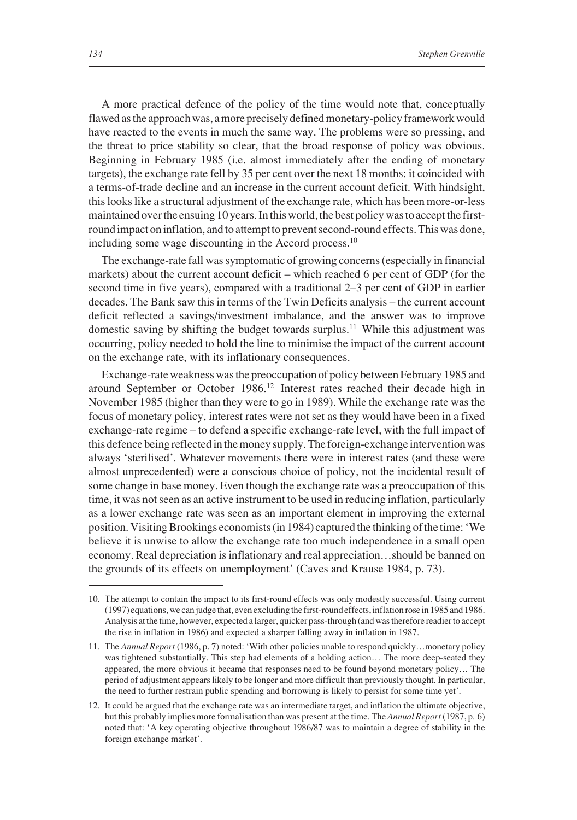A more practical defence of the policy of the time would note that, conceptually flawed as the approach was, a more precisely defined monetary-policy framework would have reacted to the events in much the same way. The problems were so pressing, and the threat to price stability so clear, that the broad response of policy was obvious. Beginning in February 1985 (i.e. almost immediately after the ending of monetary targets), the exchange rate fell by 35 per cent over the next 18 months: it coincided with a terms-of-trade decline and an increase in the current account deficit. With hindsight, this looks like a structural adjustment of the exchange rate, which has been more-or-less maintained over the ensuing 10 years. In this world, the best policy was to accept the firstround impact on inflation, and to attempt to prevent second-round effects. This was done, including some wage discounting in the Accord process.10

The exchange-rate fall was symptomatic of growing concerns (especially in financial markets) about the current account deficit – which reached 6 per cent of GDP (for the second time in five years), compared with a traditional 2–3 per cent of GDP in earlier decades. The Bank saw this in terms of the Twin Deficits analysis – the current account deficit reflected a savings/investment imbalance, and the answer was to improve domestic saving by shifting the budget towards surplus.<sup>11</sup> While this adjustment was occurring, policy needed to hold the line to minimise the impact of the current account on the exchange rate, with its inflationary consequences.

Exchange-rate weakness was the preoccupation of policy between February 1985 and around September or October 1986.12 Interest rates reached their decade high in November 1985 (higher than they were to go in 1989). While the exchange rate was the focus of monetary policy, interest rates were not set as they would have been in a fixed exchange-rate regime – to defend a specific exchange-rate level, with the full impact of this defence being reflected in the money supply. The foreign-exchange intervention was always 'sterilised'. Whatever movements there were in interest rates (and these were almost unprecedented) were a conscious choice of policy, not the incidental result of some change in base money. Even though the exchange rate was a preoccupation of this time, it was not seen as an active instrument to be used in reducing inflation, particularly as a lower exchange rate was seen as an important element in improving the external position. Visiting Brookings economists (in 1984) captured the thinking of the time: 'We believe it is unwise to allow the exchange rate too much independence in a small open economy. Real depreciation is inflationary and real appreciation…should be banned on the grounds of its effects on unemployment' (Caves and Krause 1984, p. 73).

<sup>10.</sup> The attempt to contain the impact to its first-round effects was only modestly successful. Using current (1997) equations, we can judge that, even excluding the first-round effects, inflation rose in 1985 and 1986. Analysis at the time, however, expected a larger, quicker pass-through (and was therefore readier to accept the rise in inflation in 1986) and expected a sharper falling away in inflation in 1987.

<sup>11.</sup> The *Annual Report* (1986, p. 7) noted: 'With other policies unable to respond quickly…monetary policy was tightened substantially. This step had elements of a holding action… The more deep-seated they appeared, the more obvious it became that responses need to be found beyond monetary policy… The period of adjustment appears likely to be longer and more difficult than previously thought. In particular, the need to further restrain public spending and borrowing is likely to persist for some time yet'.

<sup>12.</sup> It could be argued that the exchange rate was an intermediate target, and inflation the ultimate objective, but this probably implies more formalisation than was present at the time. The *Annual Report* (1987, p. 6) noted that: 'A key operating objective throughout 1986/87 was to maintain a degree of stability in the foreign exchange market'.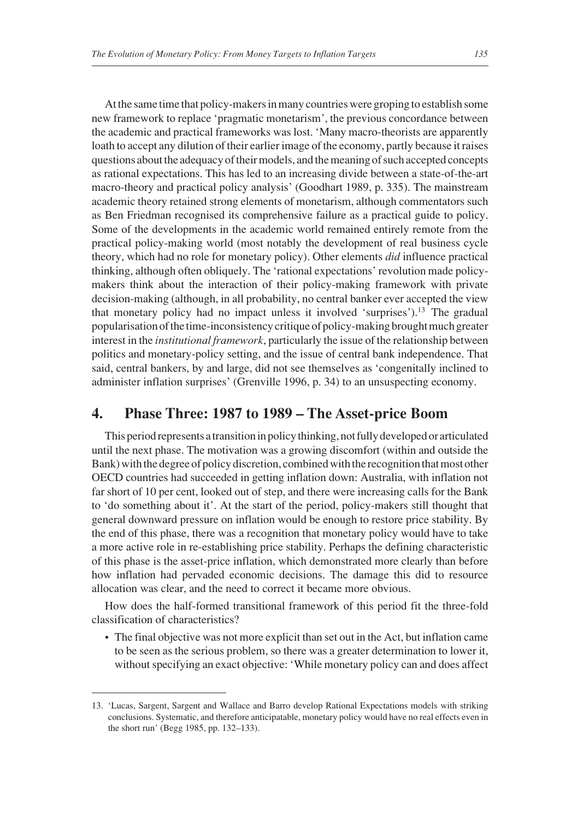At the same time that policy-makers in many countries were groping to establish some new framework to replace 'pragmatic monetarism', the previous concordance between the academic and practical frameworks was lost. 'Many macro-theorists are apparently loath to accept any dilution of their earlier image of the economy, partly because it raises questions about the adequacy of their models, and the meaning of such accepted concepts as rational expectations. This has led to an increasing divide between a state-of-the-art macro-theory and practical policy analysis' (Goodhart 1989, p. 335). The mainstream academic theory retained strong elements of monetarism, although commentators such as Ben Friedman recognised its comprehensive failure as a practical guide to policy. Some of the developments in the academic world remained entirely remote from the practical policy-making world (most notably the development of real business cycle theory, which had no role for monetary policy). Other elements *did* influence practical thinking, although often obliquely. The 'rational expectations' revolution made policymakers think about the interaction of their policy-making framework with private decision-making (although, in all probability, no central banker ever accepted the view that monetary policy had no impact unless it involved 'surprises').<sup>13</sup> The gradual popularisation of the time-inconsistency critique of policy-making brought much greater interest in the *institutional framework*, particularly the issue of the relationship between politics and monetary-policy setting, and the issue of central bank independence. That said, central bankers, by and large, did not see themselves as 'congenitally inclined to administer inflation surprises' (Grenville 1996, p. 34) to an unsuspecting economy.

#### **4. Phase Three: 1987 to 1989 – The Asset-price Boom**

This period represents a transition in policy thinking, not fully developed or articulated until the next phase. The motivation was a growing discomfort (within and outside the Bank) with the degree of policy discretion, combined with the recognition that most other OECD countries had succeeded in getting inflation down: Australia, with inflation not far short of 10 per cent, looked out of step, and there were increasing calls for the Bank to 'do something about it'. At the start of the period, policy-makers still thought that general downward pressure on inflation would be enough to restore price stability. By the end of this phase, there was a recognition that monetary policy would have to take a more active role in re-establishing price stability. Perhaps the defining characteristic of this phase is the asset-price inflation, which demonstrated more clearly than before how inflation had pervaded economic decisions. The damage this did to resource allocation was clear, and the need to correct it became more obvious.

How does the half-formed transitional framework of this period fit the three-fold classification of characteristics?

• The final objective was not more explicit than set out in the Act, but inflation came to be seen as the serious problem, so there was a greater determination to lower it, without specifying an exact objective: 'While monetary policy can and does affect

<sup>13. &#</sup>x27;Lucas, Sargent, Sargent and Wallace and Barro develop Rational Expectations models with striking conclusions. Systematic, and therefore anticipatable, monetary policy would have no real effects even in the short run' (Begg 1985, pp. 132–133).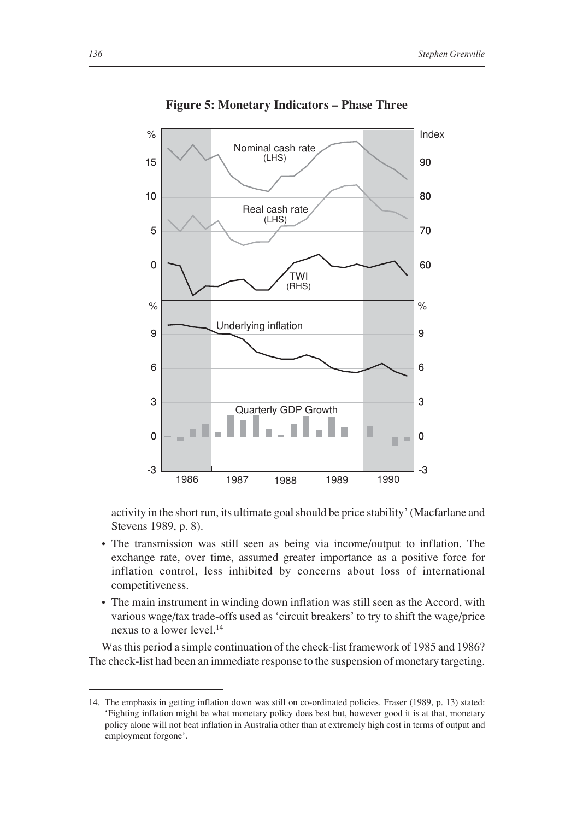

**Figure 5: Monetary Indicators – Phase Three**

activity in the short run, its ultimate goal should be price stability' (Macfarlane and Stevens 1989, p. 8).

- The transmission was still seen as being via income/output to inflation. The exchange rate, over time, assumed greater importance as a positive force for inflation control, less inhibited by concerns about loss of international competitiveness.
- The main instrument in winding down inflation was still seen as the Accord, with various wage/tax trade-offs used as 'circuit breakers' to try to shift the wage/price nexus to a lower level.14

Was this period a simple continuation of the check-list framework of 1985 and 1986? The check-list had been an immediate response to the suspension of monetary targeting.

<sup>14.</sup> The emphasis in getting inflation down was still on co-ordinated policies. Fraser (1989, p. 13) stated: 'Fighting inflation might be what monetary policy does best but, however good it is at that, monetary policy alone will not beat inflation in Australia other than at extremely high cost in terms of output and employment forgone'.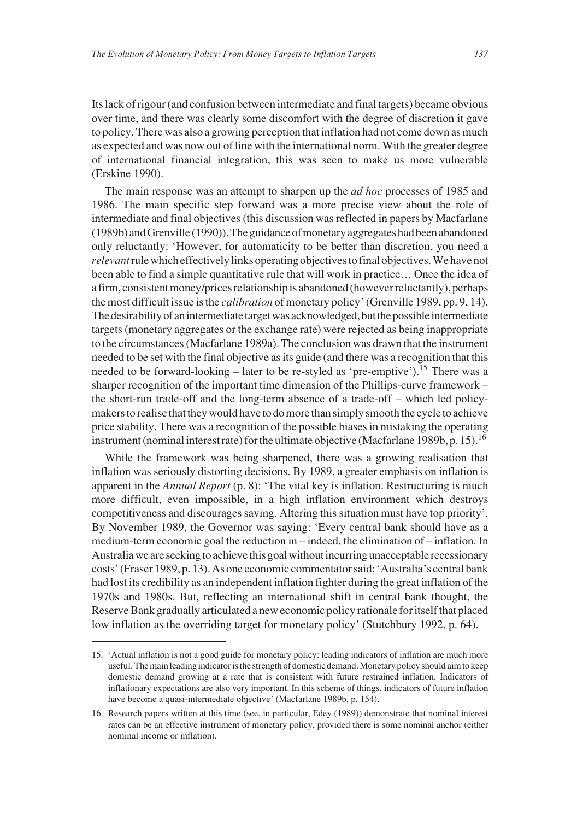Its lack of rigour (and confusion between intermediate and final targets) became obvious over time, and there was clearly some discomfort with the degree of discretion it gave to policy. There was also a growing perception that inflation had not come down as much as expected and was now out of line with the international norm. With the greater degree of international financial integration, this was seen to make us more vulnerable (Erskine 1990).

The main response was an attempt to sharpen up the *ad hoc* processes of 1985 and 1986. The main specific step forward was a more precise view about the role of intermediate and final objectives (this discussion was reflected in papers by Macfarlane (1989b) and Grenville (1990)). The guidance of monetary aggregates had been abandoned only reluctantly: 'However, for automaticity to be better than discretion, you need a *relevant*rule which effectively links operating objectives to final objectives. We have not been able to find a simple quantitative rule that will work in practice… Once the idea of a firm, consistent money/prices relationship is abandoned (however reluctantly), perhaps the most difficult issue is the *calibration* of monetary policy' (Grenville 1989, pp. 9, 14). The desirability of an intermediate target was acknowledged, but the possible intermediate targets (monetary aggregates or the exchange rate) were rejected as being inappropriate to the circumstances (Macfarlane 1989a). The conclusion was drawn that the instrument needed to be set with the final objective as its guide (and there was a recognition that this needed to be forward-looking – later to be re-styled as 'pre-emptive').<sup>15</sup> There was a sharper recognition of the important time dimension of the Phillips-curve framework – the short-run trade-off and the long-term absence of a trade-off – which led policymakers to realise that they would have to do more than simply smooth the cycle to achieve price stability. There was a recognition of the possible biases in mistaking the operating instrument (nominal interest rate) for the ultimate objective (Macfarlane 1989b, p. 15).<sup>16</sup>

While the framework was being sharpened, there was a growing realisation that inflation was seriously distorting decisions. By 1989, a greater emphasis on inflation is apparent in the *Annual Report* (p. 8): 'The vital key is inflation. Restructuring is much more difficult, even impossible, in a high inflation environment which destroys competitiveness and discourages saving. Altering this situation must have top priority'. By November 1989, the Governor was saying: 'Every central bank should have as a medium-term economic goal the reduction in – indeed, the elimination of – inflation. In Australia we are seeking to achieve this goal without incurring unacceptable recessionary costs' (Fraser 1989, p. 13). As one economic commentator said: 'Australia's central bank had lost its credibility as an independent inflation fighter during the great inflation of the 1970s and 1980s. But, reflecting an international shift in central bank thought, the Reserve Bank gradually articulated a new economic policy rationale for itself that placed low inflation as the overriding target for monetary policy' (Stutchbury 1992, p. 64).

<sup>15. &#</sup>x27;Actual inflation is not a good guide for monetary policy: leading indicators of inflation are much more useful. The main leading indicator is the strength of domestic demand. Monetary policy should aim to keep domestic demand growing at a rate that is consistent with future restrained inflation. Indicators of inflationary expectations are also very important. In this scheme of things, indicators of future inflation have become a quasi-intermediate objective' (Macfarlane 1989b, p. 154).

<sup>16.</sup> Research papers written at this time (see, in particular, Edey (1989)) demonstrate that nominal interest rates can be an effective instrument of monetary policy, provided there is some nominal anchor (either nominal income or inflation).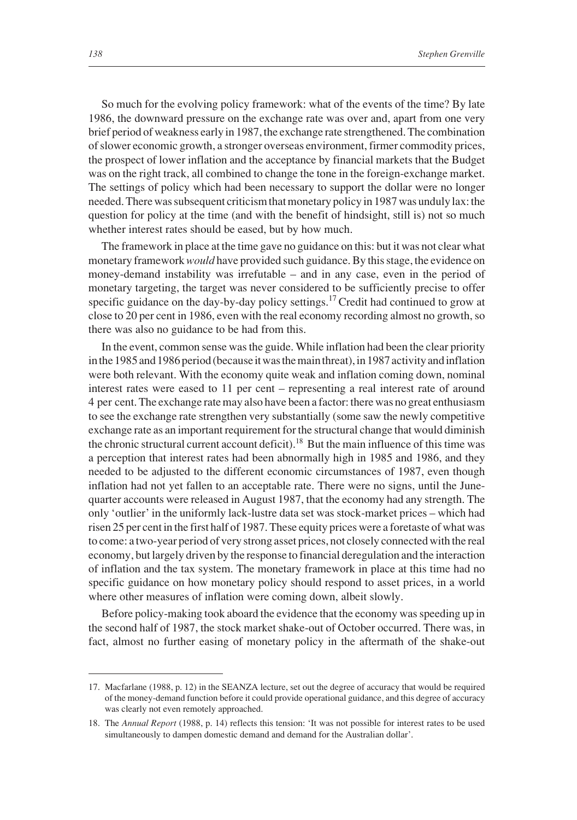So much for the evolving policy framework: what of the events of the time? By late 1986, the downward pressure on the exchange rate was over and, apart from one very brief period of weakness early in 1987, the exchange rate strengthened. The combination of slower economic growth, a stronger overseas environment, firmer commodity prices, the prospect of lower inflation and the acceptance by financial markets that the Budget was on the right track, all combined to change the tone in the foreign-exchange market. The settings of policy which had been necessary to support the dollar were no longer needed. There was subsequent criticism that monetary policy in 1987 was unduly lax: the question for policy at the time (and with the benefit of hindsight, still is) not so much whether interest rates should be eased, but by how much.

The framework in place at the time gave no guidance on this: but it was not clear what monetary framework *would* have provided such guidance. By this stage, the evidence on money-demand instability was irrefutable – and in any case, even in the period of monetary targeting, the target was never considered to be sufficiently precise to offer specific guidance on the day-by-day policy settings.<sup>17</sup> Credit had continued to grow at close to 20 per cent in 1986, even with the real economy recording almost no growth, so there was also no guidance to be had from this.

In the event, common sense was the guide. While inflation had been the clear priority in the 1985 and 1986 period (because it was the main threat), in 1987 activity and inflation were both relevant. With the economy quite weak and inflation coming down, nominal interest rates were eased to 11 per cent – representing a real interest rate of around 4 per cent. The exchange rate may also have been a factor: there was no great enthusiasm to see the exchange rate strengthen very substantially (some saw the newly competitive exchange rate as an important requirement for the structural change that would diminish the chronic structural current account deficit).<sup>18</sup> But the main influence of this time was a perception that interest rates had been abnormally high in 1985 and 1986, and they needed to be adjusted to the different economic circumstances of 1987, even though inflation had not yet fallen to an acceptable rate. There were no signs, until the Junequarter accounts were released in August 1987, that the economy had any strength. The only 'outlier' in the uniformly lack-lustre data set was stock-market prices – which had risen 25 per cent in the first half of 1987. These equity prices were a foretaste of what was to come: a two-year period of very strong asset prices, not closely connected with the real economy, but largely driven by the response to financial deregulation and the interaction of inflation and the tax system. The monetary framework in place at this time had no specific guidance on how monetary policy should respond to asset prices, in a world where other measures of inflation were coming down, albeit slowly.

Before policy-making took aboard the evidence that the economy was speeding up in the second half of 1987, the stock market shake-out of October occurred. There was, in fact, almost no further easing of monetary policy in the aftermath of the shake-out

<sup>17.</sup> Macfarlane (1988, p. 12) in the SEANZA lecture, set out the degree of accuracy that would be required of the money-demand function before it could provide operational guidance, and this degree of accuracy was clearly not even remotely approached.

<sup>18.</sup> The *Annual Report* (1988, p. 14) reflects this tension: 'It was not possible for interest rates to be used simultaneously to dampen domestic demand and demand for the Australian dollar'.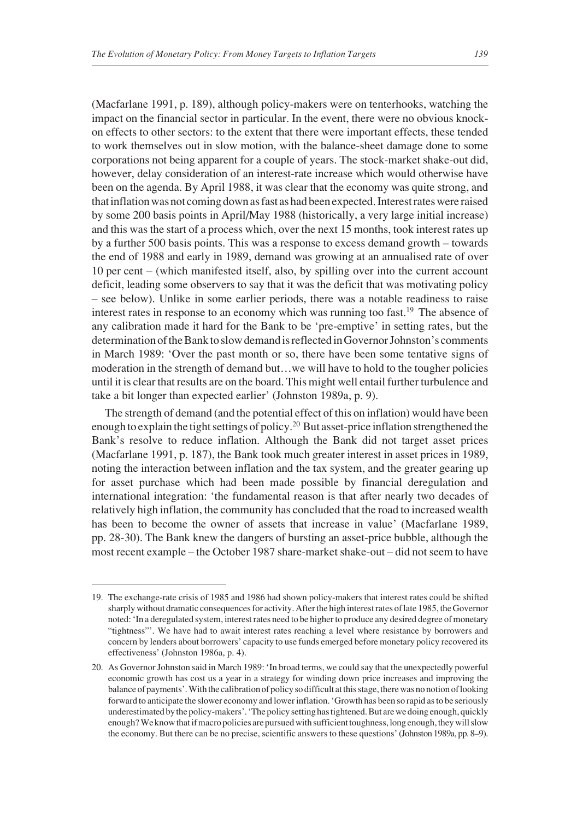(Macfarlane 1991, p. 189), although policy-makers were on tenterhooks, watching the impact on the financial sector in particular. In the event, there were no obvious knockon effects to other sectors: to the extent that there were important effects, these tended to work themselves out in slow motion, with the balance-sheet damage done to some corporations not being apparent for a couple of years. The stock-market shake-out did, however, delay consideration of an interest-rate increase which would otherwise have been on the agenda. By April 1988, it was clear that the economy was quite strong, and that inflation was not coming down as fast as had been expected. Interest rates were raised by some 200 basis points in April/May 1988 (historically, a very large initial increase) and this was the start of a process which, over the next 15 months, took interest rates up by a further 500 basis points. This was a response to excess demand growth – towards the end of 1988 and early in 1989, demand was growing at an annualised rate of over 10 per cent – (which manifested itself, also, by spilling over into the current account deficit, leading some observers to say that it was the deficit that was motivating policy – see below). Unlike in some earlier periods, there was a notable readiness to raise interest rates in response to an economy which was running too fast.<sup>19</sup> The absence of any calibration made it hard for the Bank to be 'pre-emptive' in setting rates, but the determination of the Bank to slow demand is reflected in Governor Johnston's comments in March 1989: 'Over the past month or so, there have been some tentative signs of moderation in the strength of demand but…we will have to hold to the tougher policies until it is clear that results are on the board. This might well entail further turbulence and take a bit longer than expected earlier' (Johnston 1989a, p. 9).

The strength of demand (and the potential effect of this on inflation) would have been enough to explain the tight settings of policy.20 But asset-price inflation strengthened the Bank's resolve to reduce inflation. Although the Bank did not target asset prices (Macfarlane 1991, p. 187), the Bank took much greater interest in asset prices in 1989, noting the interaction between inflation and the tax system, and the greater gearing up for asset purchase which had been made possible by financial deregulation and international integration: 'the fundamental reason is that after nearly two decades of relatively high inflation, the community has concluded that the road to increased wealth has been to become the owner of assets that increase in value' (Macfarlane 1989, pp. 28-30). The Bank knew the dangers of bursting an asset-price bubble, although the most recent example – the October 1987 share-market shake-out – did not seem to have

<sup>19.</sup> The exchange-rate crisis of 1985 and 1986 had shown policy-makers that interest rates could be shifted sharply without dramatic consequences for activity. After the high interest rates of late 1985, the Governor noted: 'In a deregulated system, interest rates need to be higher to produce any desired degree of monetary "tightness"'. We have had to await interest rates reaching a level where resistance by borrowers and concern by lenders about borrowers' capacity to use funds emerged before monetary policy recovered its effectiveness' (Johnston 1986a, p. 4).

<sup>20.</sup> As Governor Johnston said in March 1989: 'In broad terms, we could say that the unexpectedly powerful economic growth has cost us a year in a strategy for winding down price increases and improving the balance of payments'. With the calibration of policy so difficult at this stage, there was no notion of looking forward to anticipate the slower economy and lower inflation. 'Growth has been so rapid as to be seriously underestimated by the policy-makers'. 'The policy setting has tightened. But are we doing enough, quickly enough? We know that if macro policies are pursued with sufficient toughness, long enough, they will slow the economy. But there can be no precise, scientific answers to these questions' (Johnston 1989a, pp. 8–9).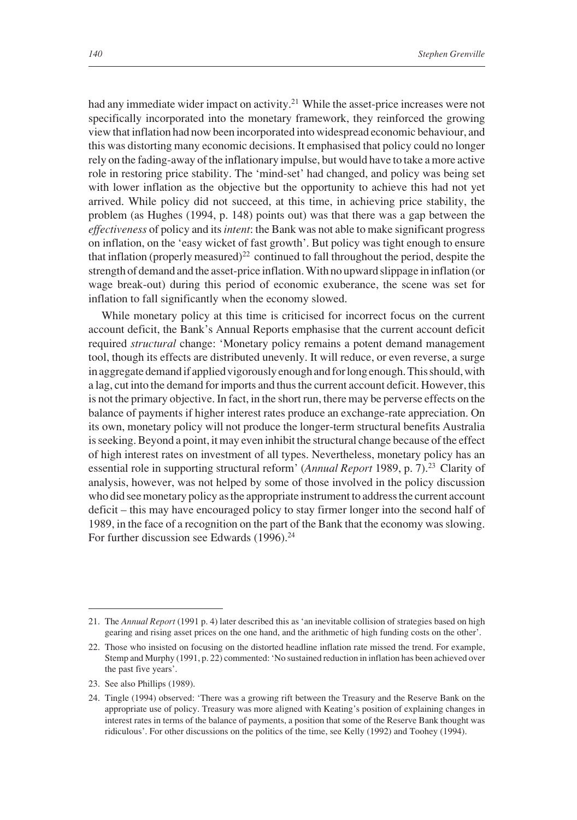had any immediate wider impact on activity.<sup>21</sup> While the asset-price increases were not specifically incorporated into the monetary framework, they reinforced the growing view that inflation had now been incorporated into widespread economic behaviour, and this was distorting many economic decisions. It emphasised that policy could no longer rely on the fading-away of the inflationary impulse, but would have to take a more active role in restoring price stability. The 'mind-set' had changed, and policy was being set with lower inflation as the objective but the opportunity to achieve this had not yet arrived. While policy did not succeed, at this time, in achieving price stability, the problem (as Hughes (1994, p. 148) points out) was that there was a gap between the *effectiveness* of policy and its *intent*: the Bank was not able to make significant progress on inflation, on the 'easy wicket of fast growth'. But policy was tight enough to ensure that inflation (properly measured)<sup>22</sup> continued to fall throughout the period, despite the strength of demand and the asset-price inflation. With no upward slippage in inflation (or wage break-out) during this period of economic exuberance, the scene was set for inflation to fall significantly when the economy slowed.

While monetary policy at this time is criticised for incorrect focus on the current account deficit, the Bank's Annual Reports emphasise that the current account deficit required *structural* change: 'Monetary policy remains a potent demand management tool, though its effects are distributed unevenly. It will reduce, or even reverse, a surge in aggregate demand if applied vigorously enough and for long enough. This should, with a lag, cut into the demand for imports and thus the current account deficit. However, this is not the primary objective. In fact, in the short run, there may be perverse effects on the balance of payments if higher interest rates produce an exchange-rate appreciation. On its own, monetary policy will not produce the longer-term structural benefits Australia is seeking. Beyond a point, it may even inhibit the structural change because of the effect of high interest rates on investment of all types. Nevertheless, monetary policy has an essential role in supporting structural reform' (*Annual Report* 1989, p. 7).<sup>23</sup> Clarity of analysis, however, was not helped by some of those involved in the policy discussion who did see monetary policy as the appropriate instrument to address the current account deficit – this may have encouraged policy to stay firmer longer into the second half of 1989, in the face of a recognition on the part of the Bank that the economy was slowing. For further discussion see Edwards (1996).<sup>24</sup>

<sup>21.</sup> The *Annual Report* (1991 p. 4) later described this as 'an inevitable collision of strategies based on high gearing and rising asset prices on the one hand, and the arithmetic of high funding costs on the other'.

<sup>22.</sup> Those who insisted on focusing on the distorted headline inflation rate missed the trend. For example, Stemp and Murphy (1991, p. 22) commented: 'No sustained reduction in inflation has been achieved over the past five years'.

<sup>23.</sup> See also Phillips (1989).

<sup>24.</sup> Tingle (1994) observed: 'There was a growing rift between the Treasury and the Reserve Bank on the appropriate use of policy. Treasury was more aligned with Keating's position of explaining changes in interest rates in terms of the balance of payments, a position that some of the Reserve Bank thought was ridiculous'. For other discussions on the politics of the time, see Kelly (1992) and Toohey (1994).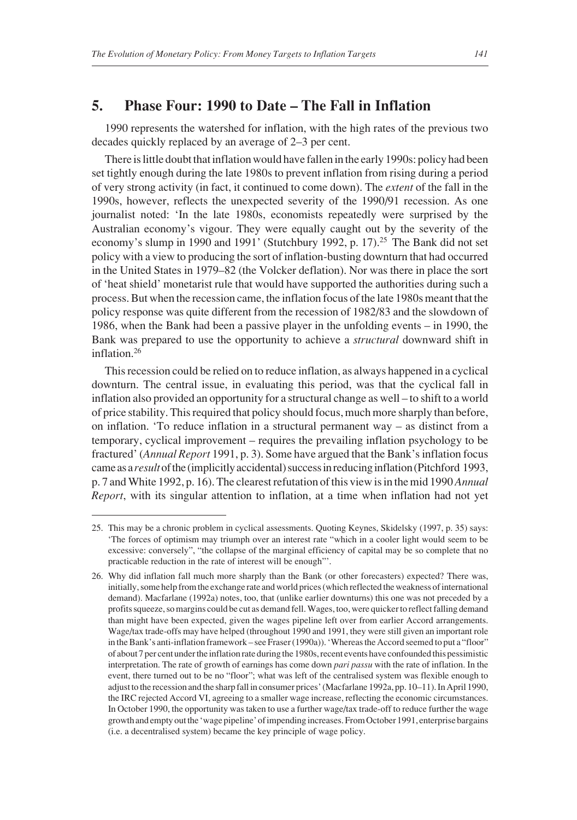## **5. Phase Four: 1990 to Date – The Fall in Inflation**

1990 represents the watershed for inflation, with the high rates of the previous two decades quickly replaced by an average of 2–3 per cent.

There is little doubt that inflation would have fallen in the early 1990s: policy had been set tightly enough during the late 1980s to prevent inflation from rising during a period of very strong activity (in fact, it continued to come down). The *extent* of the fall in the 1990s, however, reflects the unexpected severity of the 1990/91 recession. As one journalist noted: 'In the late 1980s, economists repeatedly were surprised by the Australian economy's vigour. They were equally caught out by the severity of the economy's slump in 1990 and 1991' (Stutchbury 1992, p. 17).<sup>25</sup> The Bank did not set policy with a view to producing the sort of inflation-busting downturn that had occurred in the United States in 1979–82 (the Volcker deflation). Nor was there in place the sort of 'heat shield' monetarist rule that would have supported the authorities during such a process. But when the recession came, the inflation focus of the late 1980s meant that the policy response was quite different from the recession of 1982/83 and the slowdown of 1986, when the Bank had been a passive player in the unfolding events – in 1990, the Bank was prepared to use the opportunity to achieve a *structural* downward shift in inflation<sup>26</sup>

This recession could be relied on to reduce inflation, as always happened in a cyclical downturn. The central issue, in evaluating this period, was that the cyclical fall in inflation also provided an opportunity for a structural change as well – to shift to a world of price stability. This required that policy should focus, much more sharply than before, on inflation. 'To reduce inflation in a structural permanent way – as distinct from a temporary, cyclical improvement – requires the prevailing inflation psychology to be fractured' (*Annual Report* 1991, p. 3). Some have argued that the Bank's inflation focus came as a *result*of the (implicitly accidental) success in reducing inflation (Pitchford 1993, p. 7 and White 1992, p. 16). The clearest refutation of this view is in the mid 1990 *Annual Report*, with its singular attention to inflation, at a time when inflation had not yet

<sup>25.</sup> This may be a chronic problem in cyclical assessments. Quoting Keynes, Skidelsky (1997, p. 35) says: 'The forces of optimism may triumph over an interest rate "which in a cooler light would seem to be excessive: conversely", "the collapse of the marginal efficiency of capital may be so complete that no practicable reduction in the rate of interest will be enough"'.

<sup>26.</sup> Why did inflation fall much more sharply than the Bank (or other forecasters) expected? There was, initially, some help from the exchange rate and world prices (which reflected the weakness of international demand). Macfarlane (1992a) notes, too, that (unlike earlier downturns) this one was not preceded by a profits squeeze, so margins could be cut as demand fell. Wages, too, were quicker to reflect falling demand than might have been expected, given the wages pipeline left over from earlier Accord arrangements. Wage/tax trade-offs may have helped (throughout 1990 and 1991, they were still given an important role in the Bank's anti-inflation framework – see Fraser (1990a)). 'Whereas the Accord seemed to put a "floor" of about 7 per cent under the inflation rate during the 1980s, recent events have confounded this pessimistic interpretation. The rate of growth of earnings has come down *pari passu* with the rate of inflation. In the event, there turned out to be no "floor"; what was left of the centralised system was flexible enough to adjust to the recession and the sharp fall in consumer prices' (Macfarlane 1992a, pp. 10–11). In April 1990, the IRC rejected Accord VI, agreeing to a smaller wage increase, reflecting the economic circumstances. In October 1990, the opportunity was taken to use a further wage/tax trade-off to reduce further the wage growth and empty out the 'wage pipeline' of impending increases. From October 1991, enterprise bargains (i.e. a decentralised system) became the key principle of wage policy.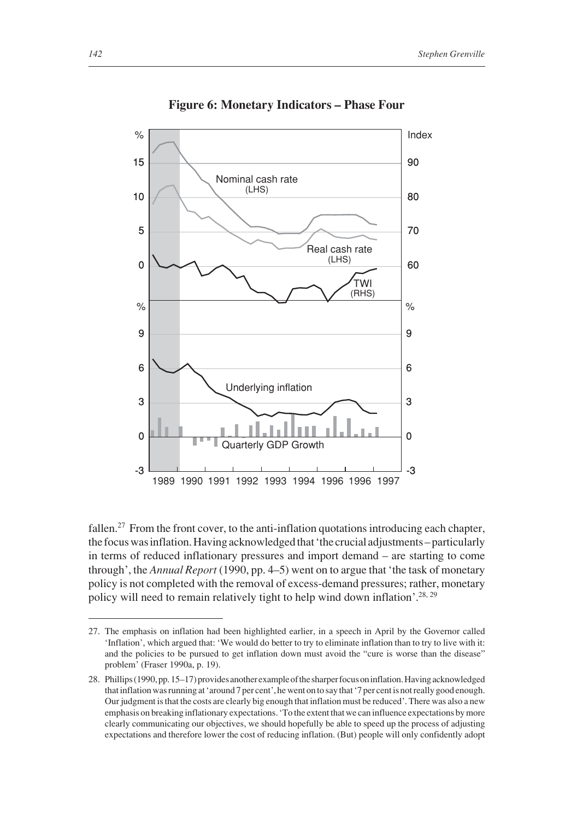

**Figure 6: Monetary Indicators – Phase Four**

fallen.<sup>27</sup> From the front cover, to the anti-inflation quotations introducing each chapter, the focus was inflation. Having acknowledged that 'the crucial adjustments – particularly in terms of reduced inflationary pressures and import demand – are starting to come through', the *Annual Report* (1990, pp. 4–5) went on to argue that 'the task of monetary policy is not completed with the removal of excess-demand pressures; rather, monetary policy will need to remain relatively tight to help wind down inflation'.<sup>28, 29</sup>

<sup>27.</sup> The emphasis on inflation had been highlighted earlier, in a speech in April by the Governor called 'Inflation', which argued that: 'We would do better to try to eliminate inflation than to try to live with it: and the policies to be pursued to get inflation down must avoid the "cure is worse than the disease" problem' (Fraser 1990a, p. 19).

<sup>28.</sup> Phillips (1990, pp. 15–17) provides another example of the sharper focus on inflation. Having acknowledged that inflation was running at 'around 7 per cent', he went on to say that '7 per cent is not really good enough. Our judgment is that the costs are clearly big enough that inflation must be reduced'. There was also a new emphasis on breaking inflationary expectations. 'To the extent that we can influence expectations by more clearly communicating our objectives, we should hopefully be able to speed up the process of adjusting expectations and therefore lower the cost of reducing inflation. (But) people will only confidently adopt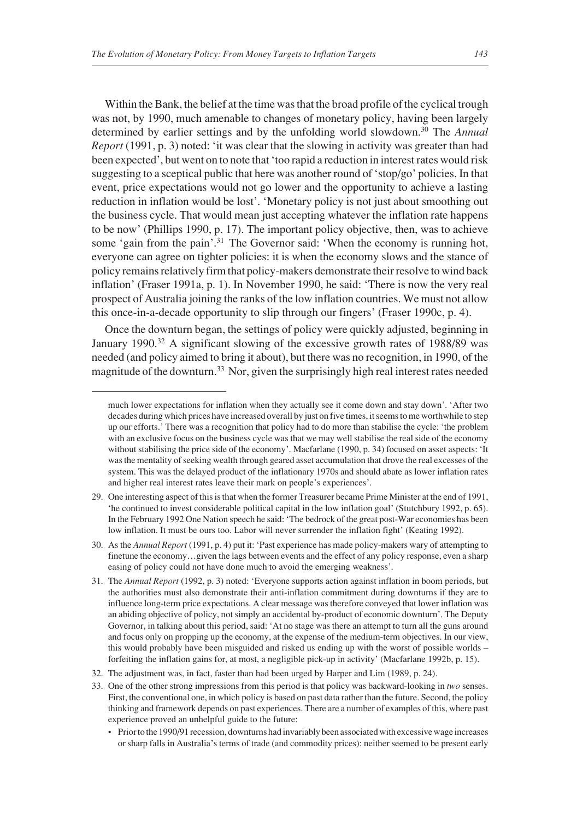Within the Bank, the belief at the time was that the broad profile of the cyclical trough was not, by 1990, much amenable to changes of monetary policy, having been largely determined by earlier settings and by the unfolding world slowdown.30 The *Annual Report* (1991, p. 3) noted: 'it was clear that the slowing in activity was greater than had been expected', but went on to note that 'too rapid a reduction in interest rates would risk suggesting to a sceptical public that here was another round of 'stop/go' policies. In that event, price expectations would not go lower and the opportunity to achieve a lasting reduction in inflation would be lost'. 'Monetary policy is not just about smoothing out the business cycle. That would mean just accepting whatever the inflation rate happens to be now' (Phillips 1990, p. 17). The important policy objective, then, was to achieve some 'gain from the pain'.<sup>31</sup> The Governor said: 'When the economy is running hot, everyone can agree on tighter policies: it is when the economy slows and the stance of policy remains relatively firm that policy-makers demonstrate their resolve to wind back inflation' (Fraser 1991a, p. 1). In November 1990, he said: 'There is now the very real prospect of Australia joining the ranks of the low inflation countries. We must not allow this once-in-a-decade opportunity to slip through our fingers' (Fraser 1990c, p. 4).

Once the downturn began, the settings of policy were quickly adjusted, beginning in January 1990.<sup>32</sup> A significant slowing of the excessive growth rates of 1988/89 was needed (and policy aimed to bring it about), but there was no recognition, in 1990, of the magnitude of the downturn.33 Nor, given the surprisingly high real interest rates needed

much lower expectations for inflation when they actually see it come down and stay down'. 'After two decades during which prices have increased overall by just on five times, it seems to me worthwhile to step up our efforts.' There was a recognition that policy had to do more than stabilise the cycle: 'the problem with an exclusive focus on the business cycle was that we may well stabilise the real side of the economy without stabilising the price side of the economy'. Macfarlane (1990, p. 34) focused on asset aspects: 'It was the mentality of seeking wealth through geared asset accumulation that drove the real excesses of the system. This was the delayed product of the inflationary 1970s and should abate as lower inflation rates and higher real interest rates leave their mark on people's experiences'.

<sup>29.</sup> One interesting aspect of this is that when the former Treasurer became Prime Minister at the end of 1991, 'he continued to invest considerable political capital in the low inflation goal' (Stutchbury 1992, p. 65). In the February 1992 One Nation speech he said: 'The bedrock of the great post-War economies has been low inflation. It must be ours too. Labor will never surrender the inflation fight' (Keating 1992).

<sup>30.</sup> As the *Annual Report* (1991, p. 4) put it: 'Past experience has made policy-makers wary of attempting to finetune the economy…given the lags between events and the effect of any policy response, even a sharp easing of policy could not have done much to avoid the emerging weakness'.

<sup>31.</sup> The *Annual Report* (1992, p. 3) noted: 'Everyone supports action against inflation in boom periods, but the authorities must also demonstrate their anti-inflation commitment during downturns if they are to influence long-term price expectations. A clear message was therefore conveyed that lower inflation was an abiding objective of policy, not simply an accidental by-product of economic downturn'. The Deputy Governor, in talking about this period, said: 'At no stage was there an attempt to turn all the guns around and focus only on propping up the economy, at the expense of the medium-term objectives. In our view, this would probably have been misguided and risked us ending up with the worst of possible worlds – forfeiting the inflation gains for, at most, a negligible pick-up in activity' (Macfarlane 1992b, p. 15).

<sup>32.</sup> The adjustment was, in fact, faster than had been urged by Harper and Lim (1989, p. 24).

<sup>33.</sup> One of the other strong impressions from this period is that policy was backward-looking in *two* senses. First, the conventional one, in which policy is based on past data rather than the future. Second, the policy thinking and framework depends on past experiences. There are a number of examples of this, where past experience proved an unhelpful guide to the future:

<sup>•</sup> Prior to the 1990/91 recession, downturns had invariably been associated with excessive wage increases or sharp falls in Australia's terms of trade (and commodity prices): neither seemed to be present early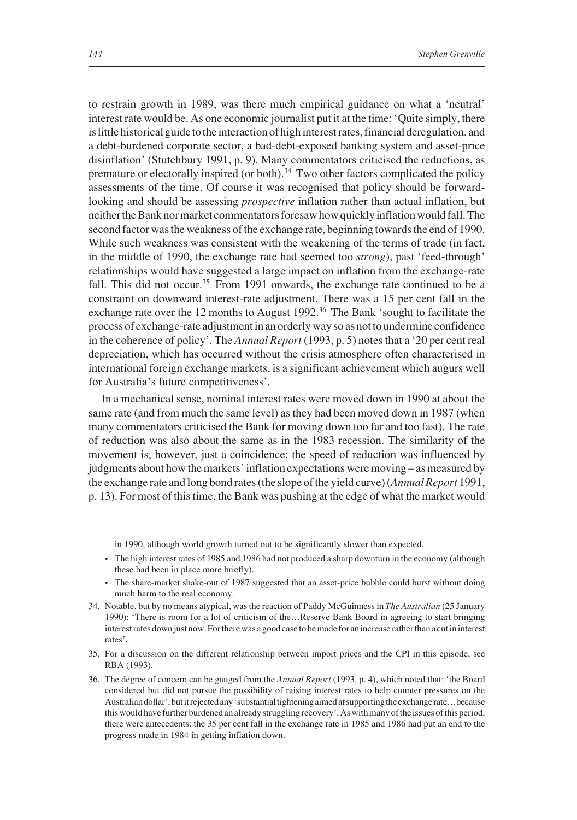to restrain growth in 1989, was there much empirical guidance on what a 'neutral' interest rate would be. As one economic journalist put it at the time: 'Quite simply, there is little historical guide to the interaction of high interest rates, financial deregulation, and a debt-burdened corporate sector, a bad-debt-exposed banking system and asset-price disinflation' (Stutchbury 1991, p. 9). Many commentators criticised the reductions, as premature or electorally inspired (or both).<sup>34</sup> Two other factors complicated the policy assessments of the time. Of course it was recognised that policy should be forwardlooking and should be assessing *prospective* inflation rather than actual inflation, but neither the Bank nor market commentators foresaw how quickly inflation would fall. The second factor was the weakness of the exchange rate, beginning towards the end of 1990. While such weakness was consistent with the weakening of the terms of trade (in fact, in the middle of 1990, the exchange rate had seemed too *strong*), past 'feed-through' relationships would have suggested a large impact on inflation from the exchange-rate fall. This did not occur.<sup>35</sup> From 1991 onwards, the exchange rate continued to be a constraint on downward interest-rate adjustment. There was a 15 per cent fall in the exchange rate over the 12 months to August 1992.<sup>36</sup> The Bank 'sought to facilitate the process of exchange-rate adjustment in an orderly way so as not to undermine confidence in the coherence of policy'. The *Annual Report* (1993, p. 5) notes that a '20 per cent real depreciation, which has occurred without the crisis atmosphere often characterised in international foreign exchange markets, is a significant achievement which augurs well for Australia's future competitiveness'.

In a mechanical sense, nominal interest rates were moved down in 1990 at about the same rate (and from much the same level) as they had been moved down in 1987 (when many commentators criticised the Bank for moving down too far and too fast). The rate of reduction was also about the same as in the 1983 recession. The similarity of the movement is, however, just a coincidence: the speed of reduction was influenced by judgments about how the markets' inflation expectations were moving – as measured by the exchange rate and long bond rates (the slope of the yield curve) (*Annual Report* 1991, p. 13). For most of this time, the Bank was pushing at the edge of what the market would

in 1990, although world growth turned out to be significantly slower than expected.

<sup>•</sup> The high interest rates of 1985 and 1986 had not produced a sharp downturn in the economy (although these had been in place more briefly).

<sup>•</sup> The share-market shake-out of 1987 suggested that an asset-price bubble could burst without doing much harm to the real economy.

<sup>34.</sup> Notable, but by no means atypical, was the reaction of Paddy McGuinness in *The Australian* (25 January 1990): 'There is room for a lot of criticism of the…Reserve Bank Board in agreeing to start bringing interest rates down just now. For there was a good case to be made for an increase rather than a cut in interest rates'.

<sup>35.</sup> For a discussion on the different relationship between import prices and the CPI in this episode, see RBA (1993).

<sup>36.</sup> The degree of concern can be gauged from the *Annual Report* (1993, p. 4), which noted that: 'the Board considered but did not pursue the possibility of raising interest rates to help counter pressures on the Australian dollar', but it rejected any 'substantial tightening aimed at supporting the exchange rate…because this would have further burdened an already struggling recovery'. As with many of the issues of this period, there were antecedents: the 35 per cent fall in the exchange rate in 1985 and 1986 had put an end to the progress made in 1984 in getting inflation down.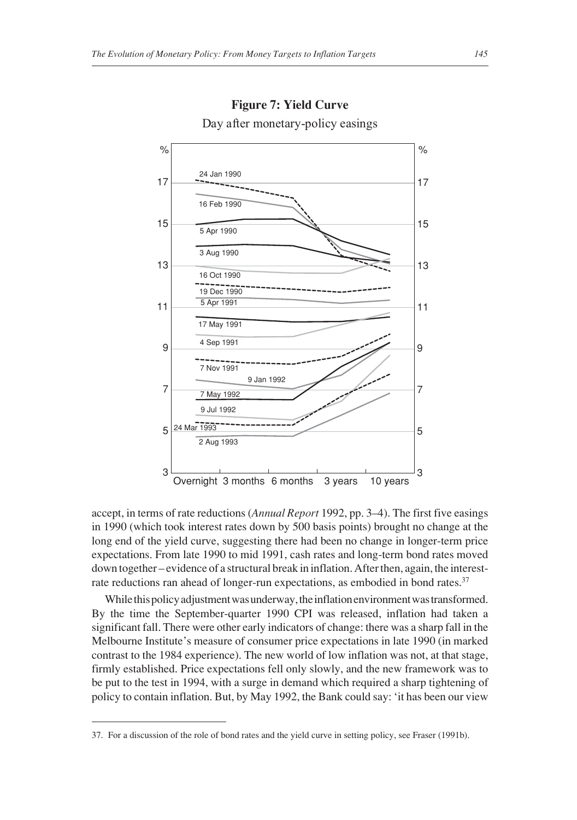

# **Figure 7: Yield Curve** Day after monetary-policy easings

accept, in terms of rate reductions (*Annual Report* 1992, pp. 3–4). The first five easings in 1990 (which took interest rates down by 500 basis points) brought no change at the long end of the yield curve, suggesting there had been no change in longer-term price expectations. From late 1990 to mid 1991, cash rates and long-term bond rates moved down together – evidence of a structural break in inflation. After then, again, the interestrate reductions ran ahead of longer-run expectations, as embodied in bond rates.<sup>37</sup>

While this policy adjustment was underway, the inflation environment was transformed. By the time the September-quarter 1990 CPI was released, inflation had taken a significant fall. There were other early indicators of change: there was a sharp fall in the Melbourne Institute's measure of consumer price expectations in late 1990 (in marked contrast to the 1984 experience). The new world of low inflation was not, at that stage, firmly established. Price expectations fell only slowly, and the new framework was to be put to the test in 1994, with a surge in demand which required a sharp tightening of policy to contain inflation. But, by May 1992, the Bank could say: 'it has been our view

<sup>37.</sup> For a discussion of the role of bond rates and the yield curve in setting policy, see Fraser (1991b).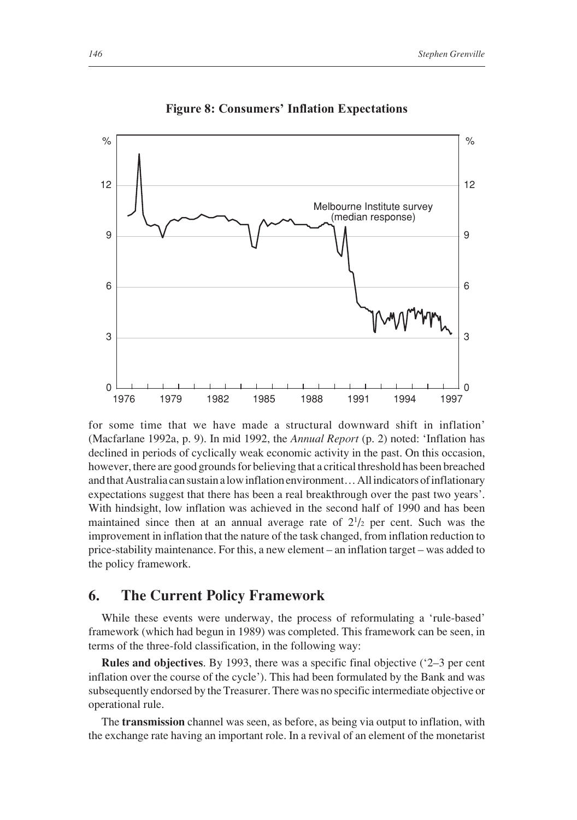

**Figure 8: Consumers' Inflation Expectations**

for some time that we have made a structural downward shift in inflation' (Macfarlane 1992a, p. 9). In mid 1992, the *Annual Report* (p. 2) noted: 'Inflation has declined in periods of cyclically weak economic activity in the past. On this occasion, however, there are good grounds for believing that a critical threshold has been breached and that Australia can sustain a low inflation environment… All indicators of inflationary expectations suggest that there has been a real breakthrough over the past two years'. With hindsight, low inflation was achieved in the second half of 1990 and has been maintained since then at an annual average rate of  $2^{1/2}$  per cent. Such was the improvement in inflation that the nature of the task changed, from inflation reduction to price-stability maintenance. For this, a new element – an inflation target – was added to the policy framework.

#### **6. The Current Policy Framework**

While these events were underway, the process of reformulating a 'rule-based' framework (which had begun in 1989) was completed. This framework can be seen, in terms of the three-fold classification, in the following way:

**Rules and objectives**. By 1993, there was a specific final objective ('2–3 per cent inflation over the course of the cycle'). This had been formulated by the Bank and was subsequently endorsed by the Treasurer. There was no specific intermediate objective or operational rule.

The **transmission** channel was seen, as before, as being via output to inflation, with the exchange rate having an important role. In a revival of an element of the monetarist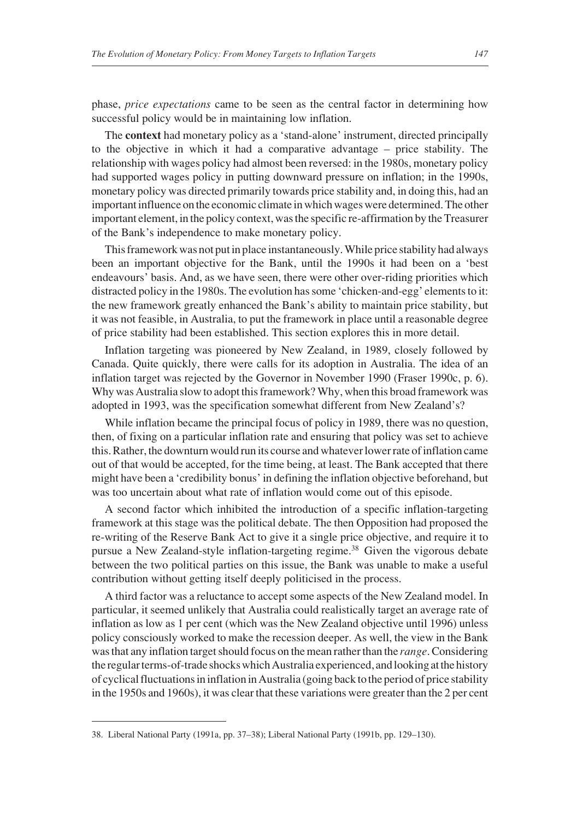phase, *price expectations* came to be seen as the central factor in determining how successful policy would be in maintaining low inflation.

The **context** had monetary policy as a 'stand-alone' instrument, directed principally to the objective in which it had a comparative advantage – price stability. The relationship with wages policy had almost been reversed: in the 1980s, monetary policy had supported wages policy in putting downward pressure on inflation; in the 1990s, monetary policy was directed primarily towards price stability and, in doing this, had an important influence on the economic climate in which wages were determined. The other important element, in the policy context, was the specific re-affirmation by the Treasurer of the Bank's independence to make monetary policy.

This framework was not put in place instantaneously. While price stability had always been an important objective for the Bank, until the 1990s it had been on a 'best endeavours' basis. And, as we have seen, there were other over-riding priorities which distracted policy in the 1980s. The evolution has some 'chicken-and-egg' elements to it: the new framework greatly enhanced the Bank's ability to maintain price stability, but it was not feasible, in Australia, to put the framework in place until a reasonable degree of price stability had been established. This section explores this in more detail.

Inflation targeting was pioneered by New Zealand, in 1989, closely followed by Canada. Quite quickly, there were calls for its adoption in Australia. The idea of an inflation target was rejected by the Governor in November 1990 (Fraser 1990c, p. 6). Why was Australia slow to adopt this framework? Why, when this broad framework was adopted in 1993, was the specification somewhat different from New Zealand's?

While inflation became the principal focus of policy in 1989, there was no question, then, of fixing on a particular inflation rate and ensuring that policy was set to achieve this. Rather, the downturn would run its course and whatever lower rate of inflation came out of that would be accepted, for the time being, at least. The Bank accepted that there might have been a 'credibility bonus' in defining the inflation objective beforehand, but was too uncertain about what rate of inflation would come out of this episode.

A second factor which inhibited the introduction of a specific inflation-targeting framework at this stage was the political debate. The then Opposition had proposed the re-writing of the Reserve Bank Act to give it a single price objective, and require it to pursue a New Zealand-style inflation-targeting regime.38 Given the vigorous debate between the two political parties on this issue, the Bank was unable to make a useful contribution without getting itself deeply politicised in the process.

A third factor was a reluctance to accept some aspects of the New Zealand model. In particular, it seemed unlikely that Australia could realistically target an average rate of inflation as low as 1 per cent (which was the New Zealand objective until 1996) unless policy consciously worked to make the recession deeper. As well, the view in the Bank was that any inflation target should focus on the mean rather than the *range*. Considering the regular terms-of-trade shocks which Australia experienced, and looking at the history of cyclical fluctuations in inflation in Australia (going back to the period of price stability in the 1950s and 1960s), it was clear that these variations were greater than the 2 per cent

<sup>38.</sup> Liberal National Party (1991a, pp. 37–38); Liberal National Party (1991b, pp. 129–130).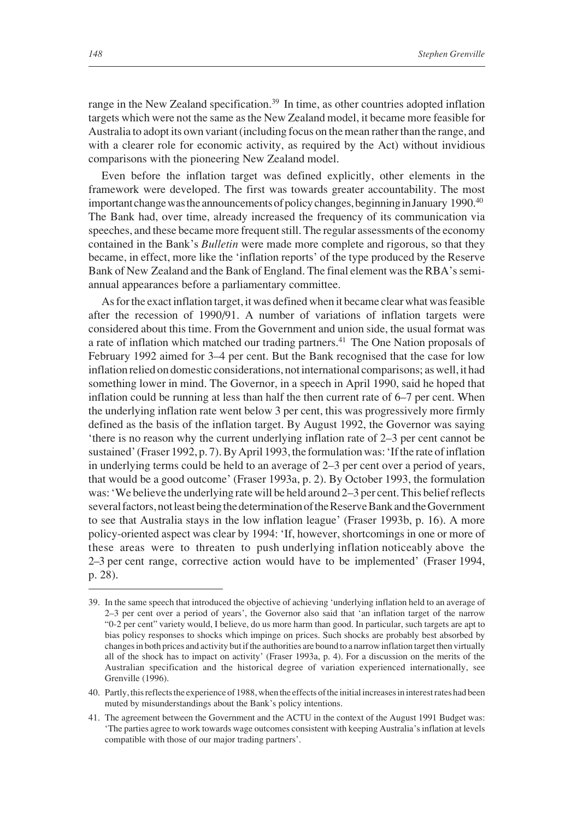range in the New Zealand specification.<sup>39</sup> In time, as other countries adopted inflation targets which were not the same as the New Zealand model, it became more feasible for Australia to adopt its own variant (including focus on the mean rather than the range, and with a clearer role for economic activity, as required by the Act) without invidious comparisons with the pioneering New Zealand model.

Even before the inflation target was defined explicitly, other elements in the framework were developed. The first was towards greater accountability. The most important change was the announcements of policy changes, beginning in January 1990.<sup>40</sup> The Bank had, over time, already increased the frequency of its communication via speeches, and these became more frequent still. The regular assessments of the economy contained in the Bank's *Bulletin* were made more complete and rigorous, so that they became, in effect, more like the 'inflation reports' of the type produced by the Reserve Bank of New Zealand and the Bank of England. The final element was the RBA's semiannual appearances before a parliamentary committee.

As for the exact inflation target, it was defined when it became clear what was feasible after the recession of 1990/91. A number of variations of inflation targets were considered about this time. From the Government and union side, the usual format was a rate of inflation which matched our trading partners.<sup>41</sup> The One Nation proposals of February 1992 aimed for 3–4 per cent. But the Bank recognised that the case for low inflation relied on domestic considerations, not international comparisons; as well, it had something lower in mind. The Governor, in a speech in April 1990, said he hoped that inflation could be running at less than half the then current rate of 6–7 per cent. When the underlying inflation rate went below 3 per cent, this was progressively more firmly defined as the basis of the inflation target. By August 1992, the Governor was saying 'there is no reason why the current underlying inflation rate of 2–3 per cent cannot be sustained' (Fraser 1992, p. 7). By April 1993, the formulation was: 'If the rate of inflation in underlying terms could be held to an average of 2–3 per cent over a period of years, that would be a good outcome' (Fraser 1993a, p. 2). By October 1993, the formulation was: 'We believe the underlying rate will be held around 2–3 per cent. This belief reflects several factors, not least being the determination of the Reserve Bank and the Government to see that Australia stays in the low inflation league' (Fraser 1993b, p. 16). A more policy-oriented aspect was clear by 1994: 'If, however, shortcomings in one or more of these areas were to threaten to push underlying inflation noticeably above the 2–3 per cent range, corrective action would have to be implemented' (Fraser 1994, p. 28).

<sup>39.</sup> In the same speech that introduced the objective of achieving 'underlying inflation held to an average of 2–3 per cent over a period of years', the Governor also said that 'an inflation target of the narrow "0-2 per cent" variety would, I believe, do us more harm than good. In particular, such targets are apt to bias policy responses to shocks which impinge on prices. Such shocks are probably best absorbed by changes in both prices and activity but if the authorities are bound to a narrow inflation target then virtually all of the shock has to impact on activity' (Fraser 1993a, p. 4). For a discussion on the merits of the Australian specification and the historical degree of variation experienced internationally, see Grenville (1996).

<sup>40.</sup> Partly, this reflects the experience of 1988, when the effects of the initial increases in interest rates had been muted by misunderstandings about the Bank's policy intentions.

<sup>41.</sup> The agreement between the Government and the ACTU in the context of the August 1991 Budget was: 'The parties agree to work towards wage outcomes consistent with keeping Australia's inflation at levels compatible with those of our major trading partners'.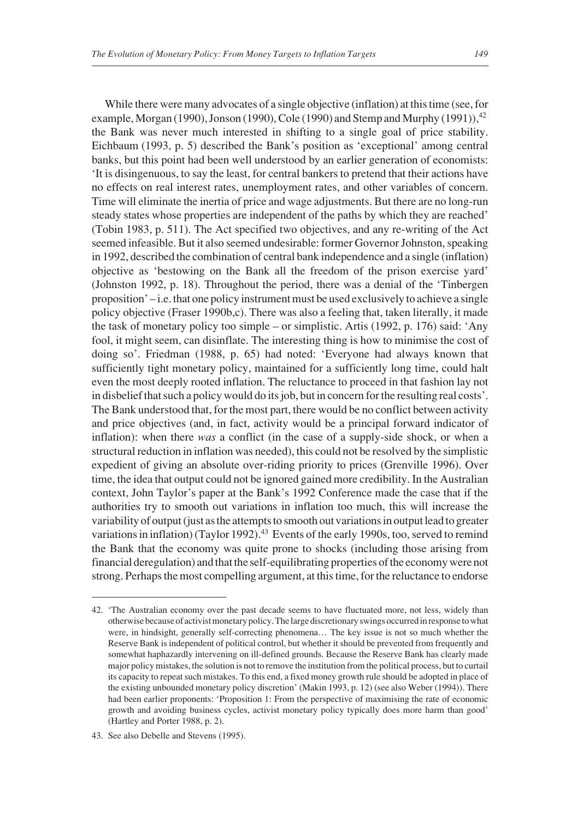While there were many advocates of a single objective (inflation) at this time (see, for example, Morgan (1990), Jonson (1990), Cole (1990) and Stemp and Murphy (1991)),  $42$ the Bank was never much interested in shifting to a single goal of price stability. Eichbaum (1993, p. 5) described the Bank's position as 'exceptional' among central banks, but this point had been well understood by an earlier generation of economists: 'It is disingenuous, to say the least, for central bankers to pretend that their actions have no effects on real interest rates, unemployment rates, and other variables of concern. Time will eliminate the inertia of price and wage adjustments. But there are no long-run steady states whose properties are independent of the paths by which they are reached' (Tobin 1983, p. 511). The Act specified two objectives, and any re-writing of the Act seemed infeasible. But it also seemed undesirable: former Governor Johnston, speaking in 1992, described the combination of central bank independence and a single (inflation) objective as 'bestowing on the Bank all the freedom of the prison exercise yard' (Johnston 1992, p. 18). Throughout the period, there was a denial of the 'Tinbergen proposition' – i.e. that one policy instrument must be used exclusively to achieve a single policy objective (Fraser 1990b,c). There was also a feeling that, taken literally, it made the task of monetary policy too simple – or simplistic. Artis (1992, p. 176) said: 'Any fool, it might seem, can disinflate. The interesting thing is how to minimise the cost of doing so'. Friedman (1988, p. 65) had noted: 'Everyone had always known that sufficiently tight monetary policy, maintained for a sufficiently long time, could halt even the most deeply rooted inflation. The reluctance to proceed in that fashion lay not in disbelief that such a policy would do its job, but in concern for the resulting real costs'. The Bank understood that, for the most part, there would be no conflict between activity and price objectives (and, in fact, activity would be a principal forward indicator of inflation): when there *was* a conflict (in the case of a supply-side shock, or when a structural reduction in inflation was needed), this could not be resolved by the simplistic expedient of giving an absolute over-riding priority to prices (Grenville 1996). Over time, the idea that output could not be ignored gained more credibility. In the Australian context, John Taylor's paper at the Bank's 1992 Conference made the case that if the authorities try to smooth out variations in inflation too much, this will increase the variability of output (just as the attempts to smooth out variations in output lead to greater variations in inflation) (Taylor 1992).<sup>43</sup> Events of the early 1990s, too, served to remind the Bank that the economy was quite prone to shocks (including those arising from financial deregulation) and that the self-equilibrating properties of the economy were not strong. Perhaps the most compelling argument, at this time, for the reluctance to endorse

<sup>42. &#</sup>x27;The Australian economy over the past decade seems to have fluctuated more, not less, widely than otherwise because of activist monetary policy. The large discretionary swings occurred in response to what were, in hindsight, generally self-correcting phenomena… The key issue is not so much whether the Reserve Bank is independent of political control, but whether it should be prevented from frequently and somewhat haphazardly intervening on ill-defined grounds. Because the Reserve Bank has clearly made major policy mistakes, the solution is not to remove the institution from the political process, but to curtail its capacity to repeat such mistakes. To this end, a fixed money growth rule should be adopted in place of the existing unbounded monetary policy discretion' (Makin 1993, p. 12) (see also Weber (1994)). There had been earlier proponents: 'Proposition 1: From the perspective of maximising the rate of economic growth and avoiding business cycles, activist monetary policy typically does more harm than good' (Hartley and Porter 1988, p. 2).

<sup>43.</sup> See also Debelle and Stevens (1995).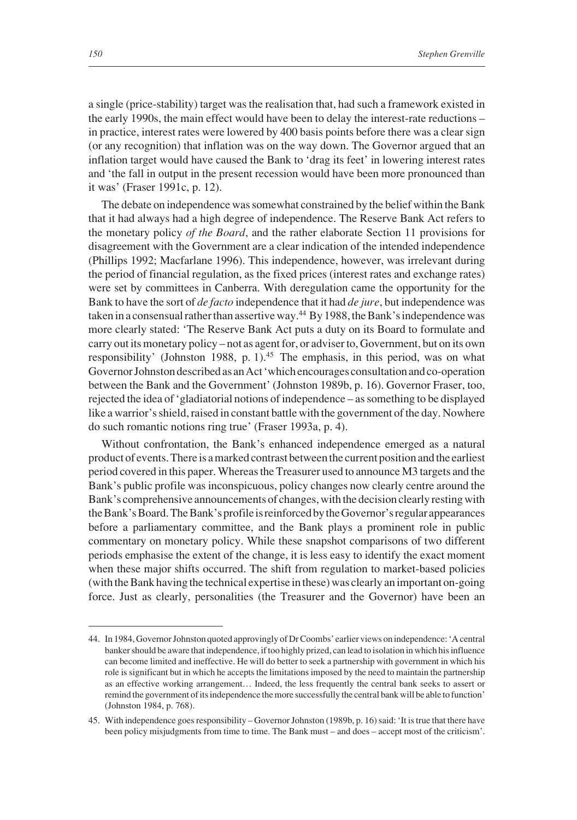a single (price-stability) target was the realisation that, had such a framework existed in the early 1990s, the main effect would have been to delay the interest-rate reductions – in practice, interest rates were lowered by 400 basis points before there was a clear sign (or any recognition) that inflation was on the way down. The Governor argued that an inflation target would have caused the Bank to 'drag its feet' in lowering interest rates and 'the fall in output in the present recession would have been more pronounced than it was' (Fraser 1991c, p. 12).

The debate on independence was somewhat constrained by the belief within the Bank that it had always had a high degree of independence. The Reserve Bank Act refers to the monetary policy *of the Board*, and the rather elaborate Section 11 provisions for disagreement with the Government are a clear indication of the intended independence (Phillips 1992; Macfarlane 1996). This independence, however, was irrelevant during the period of financial regulation, as the fixed prices (interest rates and exchange rates) were set by committees in Canberra. With deregulation came the opportunity for the Bank to have the sort of *de facto* independence that it had *de jure*, but independence was taken in a consensual rather than assertive way.<sup>44</sup> By 1988, the Bank's independence was more clearly stated: 'The Reserve Bank Act puts a duty on its Board to formulate and carry out its monetary policy – not as agent for, or adviser to, Government, but on its own responsibility' (Johnston 1988, p. 1).<sup>45</sup> The emphasis, in this period, was on what Governor Johnston described as an Act 'which encourages consultation and co-operation between the Bank and the Government' (Johnston 1989b, p. 16). Governor Fraser, too, rejected the idea of 'gladiatorial notions of independence – as something to be displayed like a warrior's shield, raised in constant battle with the government of the day. Nowhere do such romantic notions ring true' (Fraser 1993a, p. 4).

Without confrontation, the Bank's enhanced independence emerged as a natural product of events. There is a marked contrast between the current position and the earliest period covered in this paper. Whereas the Treasurer used to announce M3 targets and the Bank's public profile was inconspicuous, policy changes now clearly centre around the Bank's comprehensive announcements of changes, with the decision clearly resting with the Bank's Board. The Bank's profile is reinforced by the Governor's regular appearances before a parliamentary committee, and the Bank plays a prominent role in public commentary on monetary policy. While these snapshot comparisons of two different periods emphasise the extent of the change, it is less easy to identify the exact moment when these major shifts occurred. The shift from regulation to market-based policies (with the Bank having the technical expertise in these) was clearly an important on-going force. Just as clearly, personalities (the Treasurer and the Governor) have been an

<sup>44.</sup> In 1984, Governor Johnston quoted approvingly of Dr Coombs' earlier views on independence: 'A central banker should be aware that independence, if too highly prized, can lead to isolation in which his influence can become limited and ineffective. He will do better to seek a partnership with government in which his role is significant but in which he accepts the limitations imposed by the need to maintain the partnership as an effective working arrangement… Indeed, the less frequently the central bank seeks to assert or remind the government of its independence the more successfully the central bank will be able to function' (Johnston 1984, p. 768).

<sup>45.</sup> With independence goes responsibility – Governor Johnston (1989b, p. 16) said: 'It is true that there have been policy misjudgments from time to time. The Bank must – and does – accept most of the criticism'.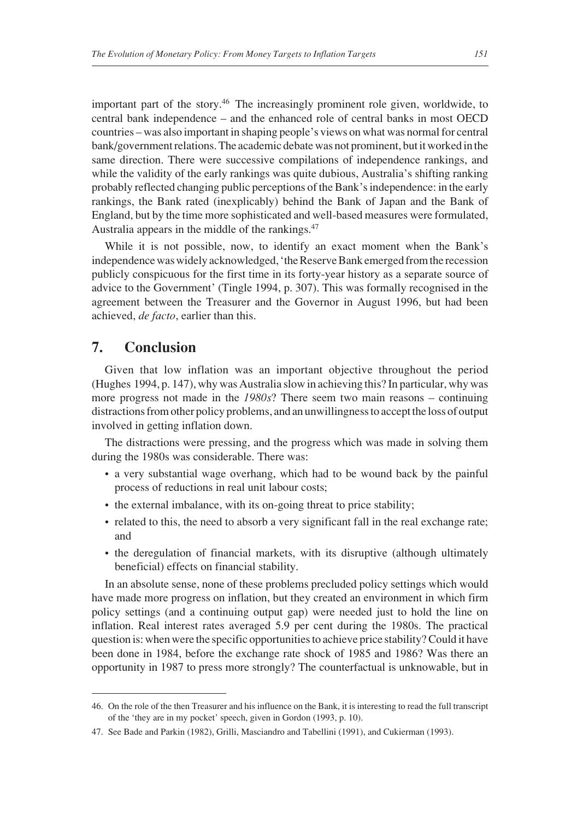important part of the story.46 The increasingly prominent role given, worldwide, to central bank independence – and the enhanced role of central banks in most OECD countries – was also important in shaping people's views on what was normal for central bank/government relations. The academic debate was not prominent, but it worked in the same direction. There were successive compilations of independence rankings, and while the validity of the early rankings was quite dubious, Australia's shifting ranking probably reflected changing public perceptions of the Bank's independence: in the early rankings, the Bank rated (inexplicably) behind the Bank of Japan and the Bank of England, but by the time more sophisticated and well-based measures were formulated, Australia appears in the middle of the rankings.47

While it is not possible, now, to identify an exact moment when the Bank's independence was widely acknowledged, 'the Reserve Bank emerged from the recession publicly conspicuous for the first time in its forty-year history as a separate source of advice to the Government' (Tingle 1994, p. 307). This was formally recognised in the agreement between the Treasurer and the Governor in August 1996, but had been achieved, *de facto*, earlier than this.

### **7. Conclusion**

Given that low inflation was an important objective throughout the period (Hughes 1994, p. 147), why was Australia slow in achieving this? In particular, why was more progress not made in the *1980s*? There seem two main reasons – continuing distractions from other policy problems, and an unwillingness to accept the loss of output involved in getting inflation down.

The distractions were pressing, and the progress which was made in solving them during the 1980s was considerable. There was:

- a very substantial wage overhang, which had to be wound back by the painful process of reductions in real unit labour costs;
- the external imbalance, with its on-going threat to price stability;
- related to this, the need to absorb a very significant fall in the real exchange rate; and
- the deregulation of financial markets, with its disruptive (although ultimately beneficial) effects on financial stability.

In an absolute sense, none of these problems precluded policy settings which would have made more progress on inflation, but they created an environment in which firm policy settings (and a continuing output gap) were needed just to hold the line on inflation. Real interest rates averaged 5.9 per cent during the 1980s. The practical question is: when were the specific opportunities to achieve price stability? Could it have been done in 1984, before the exchange rate shock of 1985 and 1986? Was there an opportunity in 1987 to press more strongly? The counterfactual is unknowable, but in

<sup>46.</sup> On the role of the then Treasurer and his influence on the Bank, it is interesting to read the full transcript of the 'they are in my pocket' speech, given in Gordon (1993, p. 10).

<sup>47.</sup> See Bade and Parkin (1982), Grilli, Masciandro and Tabellini (1991), and Cukierman (1993).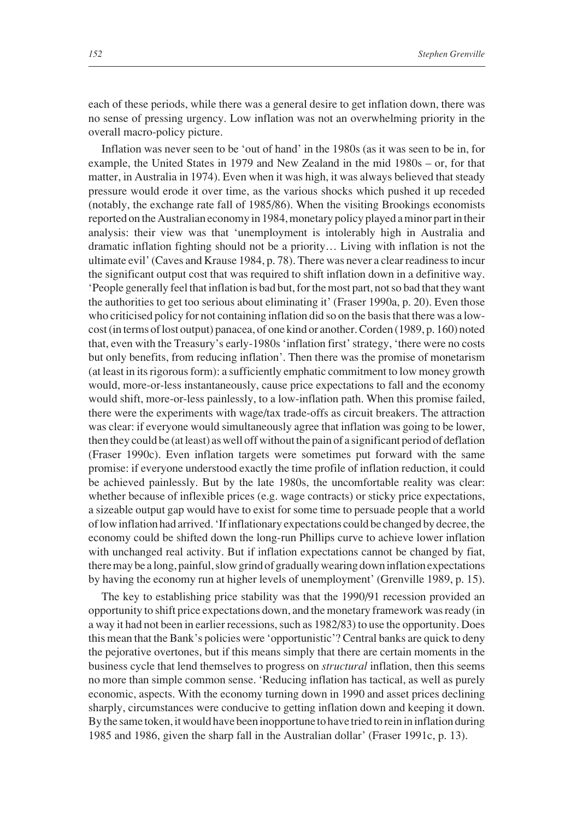each of these periods, while there was a general desire to get inflation down, there was no sense of pressing urgency. Low inflation was not an overwhelming priority in the overall macro-policy picture.

Inflation was never seen to be 'out of hand' in the 1980s (as it was seen to be in, for example, the United States in 1979 and New Zealand in the mid 1980s – or, for that matter, in Australia in 1974). Even when it was high, it was always believed that steady pressure would erode it over time, as the various shocks which pushed it up receded (notably, the exchange rate fall of 1985/86). When the visiting Brookings economists reported on the Australian economy in 1984, monetary policy played a minor part in their analysis: their view was that 'unemployment is intolerably high in Australia and dramatic inflation fighting should not be a priority… Living with inflation is not the ultimate evil' (Caves and Krause 1984, p. 78). There was never a clear readiness to incur the significant output cost that was required to shift inflation down in a definitive way. 'People generally feel that inflation is bad but, for the most part, not so bad that they want the authorities to get too serious about eliminating it' (Fraser 1990a, p. 20). Even those who criticised policy for not containing inflation did so on the basis that there was a lowcost (in terms of lost output) panacea, of one kind or another. Corden (1989, p. 160) noted that, even with the Treasury's early-1980s 'inflation first' strategy, 'there were no costs but only benefits, from reducing inflation'. Then there was the promise of monetarism (at least in its rigorous form): a sufficiently emphatic commitment to low money growth would, more-or-less instantaneously, cause price expectations to fall and the economy would shift, more-or-less painlessly, to a low-inflation path. When this promise failed, there were the experiments with wage/tax trade-offs as circuit breakers. The attraction was clear: if everyone would simultaneously agree that inflation was going to be lower, then they could be (at least) as well off without the pain of a significant period of deflation (Fraser 1990c). Even inflation targets were sometimes put forward with the same promise: if everyone understood exactly the time profile of inflation reduction, it could be achieved painlessly. But by the late 1980s, the uncomfortable reality was clear: whether because of inflexible prices (e.g. wage contracts) or sticky price expectations, a sizeable output gap would have to exist for some time to persuade people that a world of low inflation had arrived. 'If inflationary expectations could be changed by decree, the economy could be shifted down the long-run Phillips curve to achieve lower inflation with unchanged real activity. But if inflation expectations cannot be changed by fiat, there may be a long, painful, slow grind of gradually wearing down inflation expectations by having the economy run at higher levels of unemployment' (Grenville 1989, p. 15).

The key to establishing price stability was that the 1990/91 recession provided an opportunity to shift price expectations down, and the monetary framework was ready (in a way it had not been in earlier recessions, such as 1982/83) to use the opportunity. Does this mean that the Bank's policies were 'opportunistic'? Central banks are quick to deny the pejorative overtones, but if this means simply that there are certain moments in the business cycle that lend themselves to progress on *structural* inflation, then this seems no more than simple common sense. 'Reducing inflation has tactical, as well as purely economic, aspects. With the economy turning down in 1990 and asset prices declining sharply, circumstances were conducive to getting inflation down and keeping it down. By the same token, it would have been inopportune to have tried to rein in inflation during 1985 and 1986, given the sharp fall in the Australian dollar' (Fraser 1991c, p. 13).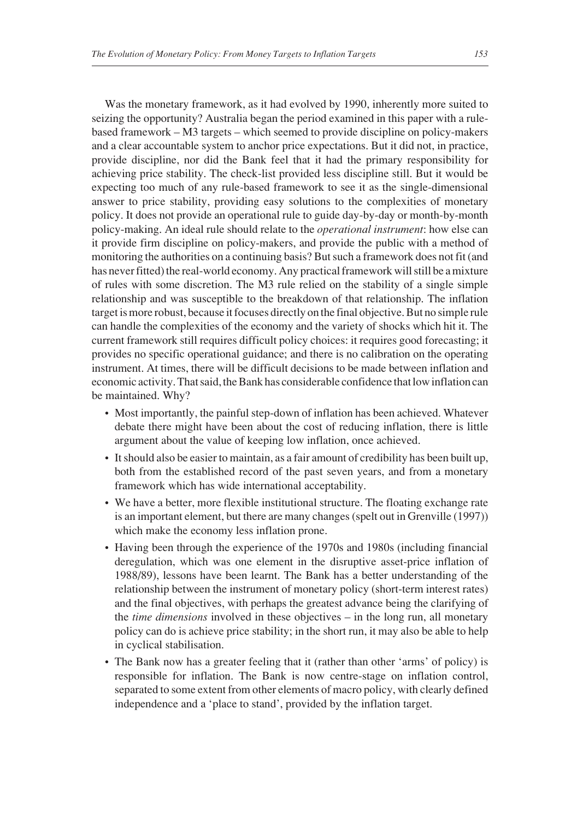Was the monetary framework, as it had evolved by 1990, inherently more suited to seizing the opportunity? Australia began the period examined in this paper with a rulebased framework – M3 targets – which seemed to provide discipline on policy-makers and a clear accountable system to anchor price expectations. But it did not, in practice, provide discipline, nor did the Bank feel that it had the primary responsibility for achieving price stability. The check-list provided less discipline still. But it would be expecting too much of any rule-based framework to see it as the single-dimensional answer to price stability, providing easy solutions to the complexities of monetary policy. It does not provide an operational rule to guide day-by-day or month-by-month policy-making. An ideal rule should relate to the *operational instrument*: how else can it provide firm discipline on policy-makers, and provide the public with a method of monitoring the authorities on a continuing basis? But such a framework does not fit (and has never fitted) the real-world economy. Any practical framework will still be a mixture of rules with some discretion. The M3 rule relied on the stability of a single simple relationship and was susceptible to the breakdown of that relationship. The inflation target is more robust, because it focuses directly on the final objective. But no simple rule can handle the complexities of the economy and the variety of shocks which hit it. The current framework still requires difficult policy choices: it requires good forecasting; it provides no specific operational guidance; and there is no calibration on the operating instrument. At times, there will be difficult decisions to be made between inflation and economic activity. That said, the Bank has considerable confidence that low inflation can be maintained. Why?

- Most importantly, the painful step-down of inflation has been achieved. Whatever debate there might have been about the cost of reducing inflation, there is little argument about the value of keeping low inflation, once achieved.
- It should also be easier to maintain, as a fair amount of credibility has been built up, both from the established record of the past seven years, and from a monetary framework which has wide international acceptability.
- We have a better, more flexible institutional structure. The floating exchange rate is an important element, but there are many changes (spelt out in Grenville (1997)) which make the economy less inflation prone.
- Having been through the experience of the 1970s and 1980s (including financial deregulation, which was one element in the disruptive asset-price inflation of 1988/89), lessons have been learnt. The Bank has a better understanding of the relationship between the instrument of monetary policy (short-term interest rates) and the final objectives, with perhaps the greatest advance being the clarifying of the *time dimensions* involved in these objectives – in the long run, all monetary policy can do is achieve price stability; in the short run, it may also be able to help in cyclical stabilisation.
- The Bank now has a greater feeling that it (rather than other 'arms' of policy) is responsible for inflation. The Bank is now centre-stage on inflation control, separated to some extent from other elements of macro policy, with clearly defined independence and a 'place to stand', provided by the inflation target.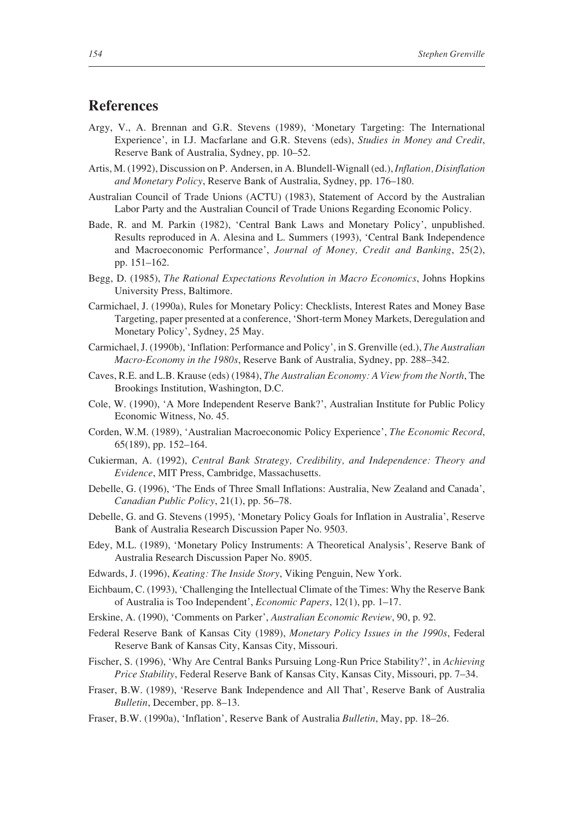### **References**

- Argy, V., A. Brennan and G.R. Stevens (1989), 'Monetary Targeting: The International Experience', in I.J. Macfarlane and G.R. Stevens (eds), *Studies in Money and Credit*, Reserve Bank of Australia, Sydney, pp. 10–52.
- Artis, M. (1992), Discussion on P. Andersen, in A. Blundell-Wignall (ed.), *Inflation, Disinflation and Monetary Policy*, Reserve Bank of Australia, Sydney, pp. 176–180.
- Australian Council of Trade Unions (ACTU) (1983), Statement of Accord by the Australian Labor Party and the Australian Council of Trade Unions Regarding Economic Policy.
- Bade, R. and M. Parkin (1982), 'Central Bank Laws and Monetary Policy', unpublished. Results reproduced in A. Alesina and L. Summers (1993), 'Central Bank Independence and Macroeconomic Performance', *Journal of Money, Credit and Banking*, 25(2), pp. 151–162.
- Begg, D. (1985), *The Rational Expectations Revolution in Macro Economics*, Johns Hopkins University Press, Baltimore.
- Carmichael, J. (1990a), Rules for Monetary Policy: Checklists, Interest Rates and Money Base Targeting, paper presented at a conference, 'Short-term Money Markets, Deregulation and Monetary Policy', Sydney, 25 May.
- Carmichael, J. (1990b), 'Inflation: Performance and Policy', in S. Grenville (ed.), *The Australian Macro-Economy in the 1980s*, Reserve Bank of Australia, Sydney, pp. 288–342.
- Caves, R.E. and L.B. Krause (eds) (1984), *The Australian Economy: A View from the North*, The Brookings Institution, Washington, D.C.
- Cole, W. (1990), 'A More Independent Reserve Bank?', Australian Institute for Public Policy Economic Witness, No. 45.
- Corden, W.M. (1989), 'Australian Macroeconomic Policy Experience', *The Economic Record*, 65(189), pp. 152–164.
- Cukierman, A. (1992), *Central Bank Strategy, Credibility, and Independence: Theory and Evidence*, MIT Press, Cambridge, Massachusetts.
- Debelle, G. (1996), 'The Ends of Three Small Inflations: Australia, New Zealand and Canada', *Canadian Public Policy*, 21(1), pp. 56–78.
- Debelle, G. and G. Stevens (1995), 'Monetary Policy Goals for Inflation in Australia', Reserve Bank of Australia Research Discussion Paper No. 9503.
- Edey, M.L. (1989), 'Monetary Policy Instruments: A Theoretical Analysis', Reserve Bank of Australia Research Discussion Paper No. 8905.
- Edwards, J. (1996), *Keating: The Inside Story*, Viking Penguin, New York.
- Eichbaum, C. (1993), 'Challenging the Intellectual Climate of the Times: Why the Reserve Bank of Australia is Too Independent', *Economic Papers*, 12(1), pp. 1–17.
- Erskine, A. (1990), 'Comments on Parker', *Australian Economic Review*, 90, p. 92.
- Federal Reserve Bank of Kansas City (1989), *Monetary Policy Issues in the 1990s*, Federal Reserve Bank of Kansas City, Kansas City, Missouri.
- Fischer, S. (1996), 'Why Are Central Banks Pursuing Long*-*Run Price Stability?', in *Achieving Price Stability*, Federal Reserve Bank of Kansas City, Kansas City, Missouri, pp. 7–34.
- Fraser, B.W. (1989), 'Reserve Bank Independence and All That', Reserve Bank of Australia *Bulletin*, December, pp. 8–13.
- Fraser, B.W. (1990a), 'Inflation', Reserve Bank of Australia *Bulletin*, May, pp. 18–26.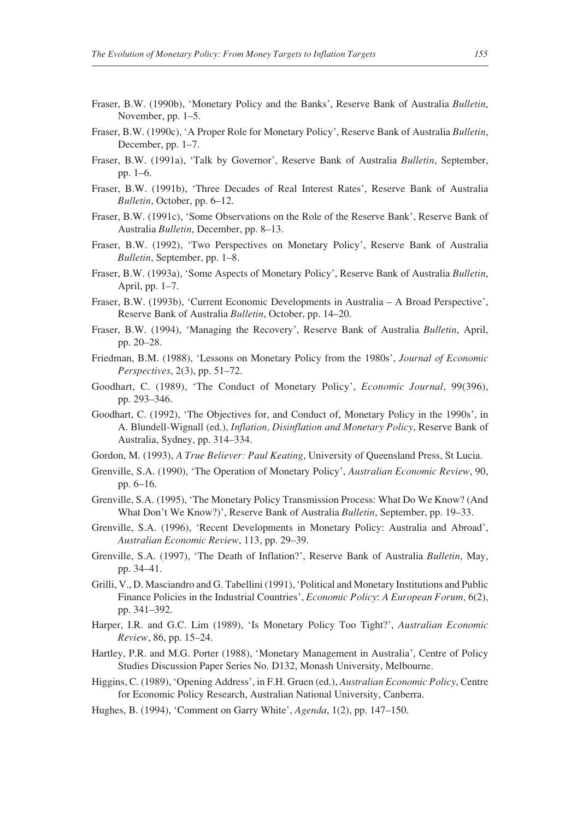- Fraser, B.W. (1990b), 'Monetary Policy and the Banks', Reserve Bank of Australia *Bulletin*, November, pp. 1–5.
- Fraser, B.W. (1990c), 'A Proper Role for Monetary Policy', Reserve Bank of Australia *Bulletin*, December, pp. 1–7.
- Fraser, B.W. (1991a), 'Talk by Governor', Reserve Bank of Australia *Bulletin*, September, pp. 1–6.
- Fraser, B.W. (1991b), 'Three Decades of Real Interest Rates', Reserve Bank of Australia *Bulletin*, October, pp. 6–12.
- Fraser, B.W. (1991c), 'Some Observations on the Role of the Reserve Bank', Reserve Bank of Australia *Bulletin*, December, pp. 8–13.
- Fraser, B.W. (1992), 'Two Perspectives on Monetary Policy', Reserve Bank of Australia *Bulletin*, September, pp. 1–8.
- Fraser, B.W. (1993a), 'Some Aspects of Monetary Policy', Reserve Bank of Australia *Bulletin*, April, pp. 1–7.
- Fraser, B.W. (1993b), 'Current Economic Developments in Australia A Broad Perspective', Reserve Bank of Australia *Bulletin*, October, pp. 14–20.
- Fraser, B.W. (1994), 'Managing the Recovery', Reserve Bank of Australia *Bulletin*, April, pp. 20–28.
- Friedman, B.M. (1988), 'Lessons on Monetary Policy from the 1980s', *Journal of Economic Perspectives*, 2(3), pp. 51–72.
- Goodhart, C. (1989), 'The Conduct of Monetary Policy', *Economic Journal*, 99(396), pp. 293–346.
- Goodhart, C. (1992), 'The Objectives for, and Conduct of, Monetary Policy in the 1990s', in A. Blundell-Wignall (ed.), *Inflation, Disinflation and Monetary Policy*, Reserve Bank of Australia, Sydney, pp. 314–334.
- Gordon, M. (1993), *A True Believer: Paul Keating*, University of Queensland Press, St Lucia.
- Grenville, S.A. (1990), 'The Operation of Monetary Policy', *Australian Economic Review*, 90, pp. 6–16.
- Grenville, S.A. (1995), 'The Monetary Policy Transmission Process: What Do We Know? (And What Don't We Know?)', Reserve Bank of Australia *Bulletin*, September, pp. 19–33.
- Grenville, S.A. (1996), 'Recent Developments in Monetary Policy: Australia and Abroad', *Australian Economic Review*, 113, pp. 29–39.
- Grenville, S.A. (1997), 'The Death of Inflation?', Reserve Bank of Australia *Bulletin*, May, pp. 34–41.
- Grilli, V., D. Masciandro and G. Tabellini (1991), 'Political and Monetary Institutions and Public Finance Policies in the Industrial Countries', *Economic Policy*: *A European Forum,* 6(2), pp. 341–392.
- Harper, I.R. and G.C. Lim (1989), 'Is Monetary Policy Too Tight?', *Australian Economic Review*, 86, pp. 15–24.
- Hartley, P.R. and M.G. Porter (1988), 'Monetary Management in Australia', Centre of Policy Studies Discussion Paper Series No. D132, Monash University, Melbourne.
- Higgins, C. (1989), 'Opening Address', in F.H. Gruen (ed.), *Australian Economic Policy*, Centre for Economic Policy Research, Australian National University, Canberra.
- Hughes, B. (1994), 'Comment on Garry White', *Agenda*, 1(2), pp. 147–150.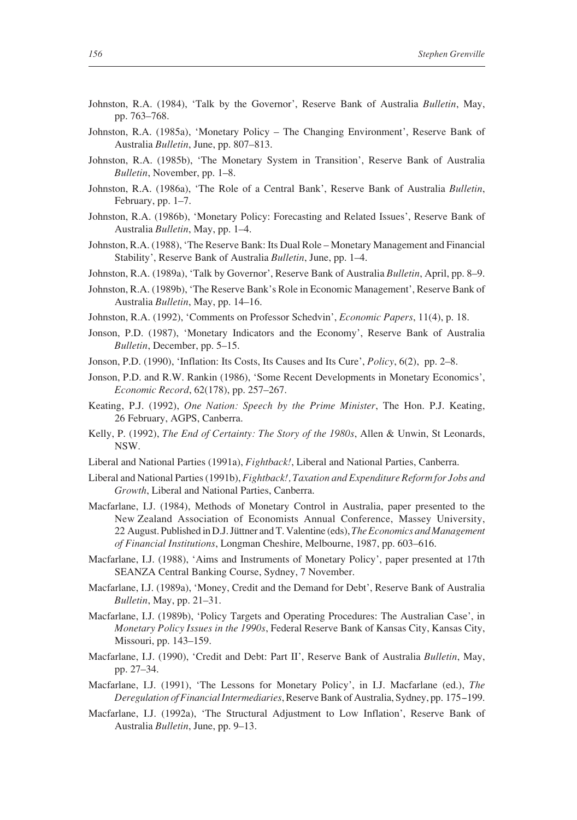- Johnston, R.A. (1984), 'Talk by the Governor', Reserve Bank of Australia *Bulletin*, May, pp. 763–768.
- Johnston, R.A. (1985a), 'Monetary Policy The Changing Environment', Reserve Bank of Australia *Bulletin*, June, pp. 807–813.
- Johnston, R.A. (1985b), 'The Monetary System in Transition', Reserve Bank of Australia *Bulletin*, November, pp. 1–8.
- Johnston, R.A. (1986a), 'The Role of a Central Bank', Reserve Bank of Australia *Bulletin*, February, pp. 1–7.
- Johnston, R.A. (1986b), 'Monetary Policy: Forecasting and Related Issues', Reserve Bank of Australia *Bulletin*, May, pp. 1–4.
- Johnston, R.A. (1988), 'The Reserve Bank: Its Dual Role Monetary Management and Financial Stability', Reserve Bank of Australia *Bulletin*, June, pp. 1–4.
- Johnston, R.A. (1989a), 'Talk by Governor', Reserve Bank of Australia *Bulletin*, April, pp. 8–9.
- Johnston, R.A. (1989b), 'The Reserve Bank's Role in Economic Management', Reserve Bank of Australia *Bulletin*, May, pp. 14–16.
- Johnston, R.A. (1992), 'Comments on Professor Schedvin', *Economic Papers*, 11(4), p. 18.
- Jonson, P.D. (1987), 'Monetary Indicators and the Economy', Reserve Bank of Australia *Bulletin*, December, pp. 5–15.
- Jonson, P.D. (1990), 'Inflation: Its Costs, Its Causes and Its Cure', *Policy*, 6(2), pp. 2–8.
- Jonson, P.D. and R.W. Rankin (1986), 'Some Recent Developments in Monetary Economics', *Economic Record*, 62(178), pp. 257–267.
- Keating, P.J. (1992), *One Nation: Speech by the Prime Minister*, The Hon. P.J. Keating, 26 February, AGPS, Canberra.
- Kelly, P. (1992), *The End of Certainty: The Story of the 1980s*, Allen & Unwin, St Leonards, NSW.
- Liberal and National Parties (1991a), *Fightback!*, Liberal and National Parties, Canberra.
- Liberal and National Parties (1991b), *Fightback!, Taxation and Expenditure Reform for Jobs and Growth*, Liberal and National Parties, Canberra.
- Macfarlane, I.J. (1984), Methods of Monetary Control in Australia, paper presented to the New Zealand Association of Economists Annual Conference, Massey University, 22 August. Published in D.J. Jüttner and T. Valentine (eds), *The Economics and Management of Financial Institutions*, Longman Cheshire, Melbourne, 1987, pp. 603–616.
- Macfarlane, I.J. (1988), 'Aims and Instruments of Monetary Policy', paper presented at 17th SEANZA Central Banking Course, Sydney, 7 November.
- Macfarlane, I.J. (1989a), 'Money, Credit and the Demand for Debt', Reserve Bank of Australia *Bulletin*, May, pp. 21–31.
- Macfarlane, I.J. (1989b), 'Policy Targets and Operating Procedures: The Australian Case', in *Monetary Policy Issues in the 1990s*, Federal Reserve Bank of Kansas City, Kansas City, Missouri, pp. 143–159.
- Macfarlane, I.J. (1990), 'Credit and Debt: Part II', Reserve Bank of Australia *Bulletin*, May, pp. 27–34.
- Macfarlane, I.J. (1991), 'The Lessons for Monetary Policy', in I.J. Macfarlane (ed.), *The Deregulation of Financial Intermediaries*, Reserve Bank of Australia, Sydney, pp. 175--199.
- Macfarlane, I.J. (1992a), 'The Structural Adjustment to Low Inflation', Reserve Bank of Australia *Bulletin*, June, pp. 9–13.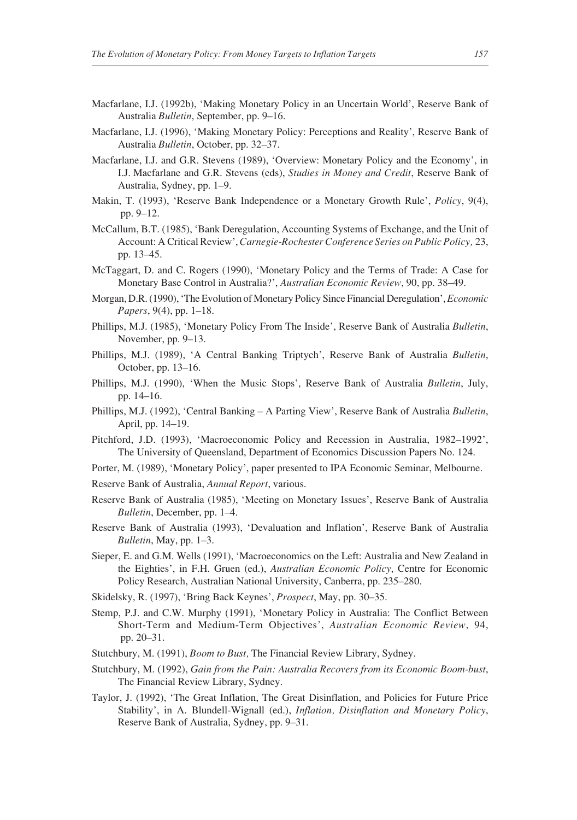- Macfarlane, I.J. (1992b), 'Making Monetary Policy in an Uncertain World', Reserve Bank of Australia *Bulletin*, September, pp. 9–16.
- Macfarlane, I.J. (1996), 'Making Monetary Policy: Perceptions and Reality', Reserve Bank of Australia *Bulletin*, October, pp. 32–37.
- Macfarlane, I.J. and G.R. Stevens (1989), 'Overview: Monetary Policy and the Economy', in I.J. Macfarlane and G.R. Stevens (eds), *Studies in Money and Credit*, Reserve Bank of Australia, Sydney, pp. 1–9.
- Makin, T. (1993), 'Reserve Bank Independence or a Monetary Growth Rule', *Policy*, 9(4), pp. 9–12.
- McCallum, B.T. (1985), 'Bank Deregulation, Accounting Systems of Exchange, and the Unit of Account: A Critical Review', *Carnegie-Rochester Conference Series on Public Policy,* 23, pp. 13–45.
- McTaggart, D. and C. Rogers (1990), 'Monetary Policy and the Terms of Trade: A Case for Monetary Base Control in Australia?', *Australian Economic Review*, 90, pp. 38–49.
- Morgan, D.R. (1990), 'The Evolution of Monetary Policy Since Financial Deregulation', *Economic Papers*, 9(4), pp. 1–18.
- Phillips, M.J. (1985), 'Monetary Policy From The Inside', Reserve Bank of Australia *Bulletin*, November, pp. 9–13.
- Phillips, M.J. (1989), 'A Central Banking Triptych', Reserve Bank of Australia *Bulletin*, October, pp. 13–16.
- Phillips, M.J. (1990), 'When the Music Stops', Reserve Bank of Australia *Bulletin*, July, pp. 14–16.
- Phillips, M.J. (1992), 'Central Banking A Parting View', Reserve Bank of Australia *Bulletin*, April, pp. 14–19.
- Pitchford, J.D. (1993), 'Macroeconomic Policy and Recession in Australia, 1982–1992', The University of Queensland, Department of Economics Discussion Papers No. 124.
- Porter, M. (1989), 'Monetary Policy', paper presented to IPA Economic Seminar, Melbourne.
- Reserve Bank of Australia, *Annual Report*, various.
- Reserve Bank of Australia (1985), 'Meeting on Monetary Issues', Reserve Bank of Australia *Bulletin*, December, pp. 1–4.
- Reserve Bank of Australia (1993), 'Devaluation and Inflation', Reserve Bank of Australia *Bulletin*, May, pp. 1–3.
- Sieper, E. and G.M. Wells (1991), 'Macroeconomics on the Left: Australia and New Zealand in the Eighties', in F.H. Gruen (ed.), *Australian Economic Policy*, Centre for Economic Policy Research, Australian National University, Canberra, pp. 235–280.
- Skidelsky, R. (1997), 'Bring Back Keynes', *Prospect*, May, pp. 30–35.
- Stemp, P.J. and C.W. Murphy (1991), 'Monetary Policy in Australia: The Conflict Between Short-Term and Medium-Term Objectives', *Australian Economic Review*, 94, pp. 20–31.
- Stutchbury, M. (1991), *Boom to Bust,* The Financial Review Library, Sydney.
- Stutchbury, M. (1992), *Gain from the Pain: Australia Recovers from its Economic Boom-bust*, The Financial Review Library, Sydney.
- Taylor, J. (1992), 'The Great Inflation, The Great Disinflation, and Policies for Future Price Stability', in A. Blundell-Wignall (ed.), *Inflation, Disinflation and Monetary Policy*, Reserve Bank of Australia, Sydney, pp. 9–31.